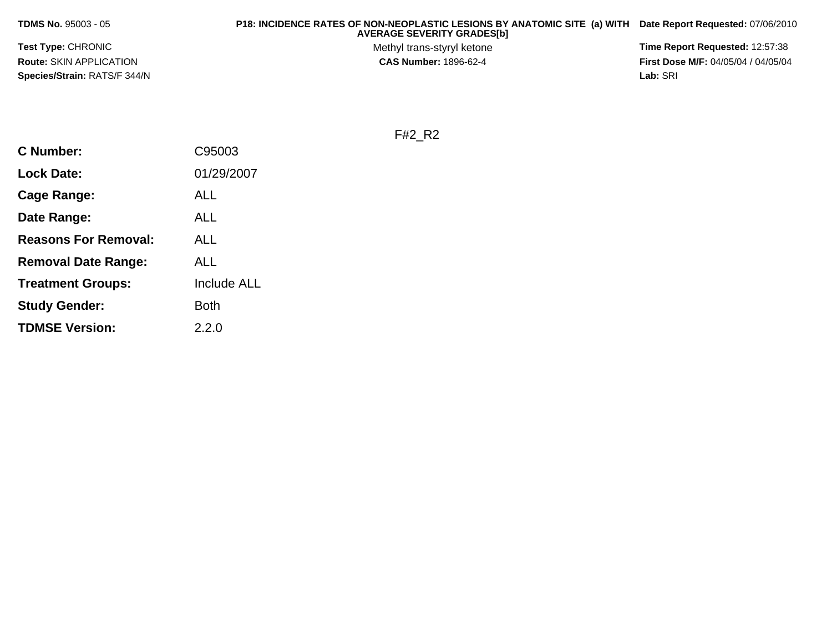**TDMS No.** 95003 - 05

 **P18: INCIDENCE RATES OF NON-NEOPLASTIC LESIONS BY ANATOMIC SITE (a) WITH AVERAGE SEVERITY GRADES[b] Date Report Requested:** 07/06/2010

**Test Type:** CHRONIC**Route:** SKIN APPLICATION**Species/Strain:** RATS/F 344/N Methyl trans-styryl ketone<br>CAS Number: 1896-62-4

 **Time Report Requested:** 12:57:38 **First Dose M/F:** 04/05/04 / 04/05/04<br>Lab: SRI **Lab:** SRI

F#2\_R2

| <b>C</b> Number:            | C95003             |
|-----------------------------|--------------------|
| <b>Lock Date:</b>           | 01/29/2007         |
| Cage Range:                 | ALL                |
| Date Range:                 | ALL                |
| <b>Reasons For Removal:</b> | <b>ALL</b>         |
| <b>Removal Date Range:</b>  | ALL                |
| <b>Treatment Groups:</b>    | <b>Include ALL</b> |
| <b>Study Gender:</b>        | Both               |
| <b>TDMSE Version:</b>       | 2.2.0              |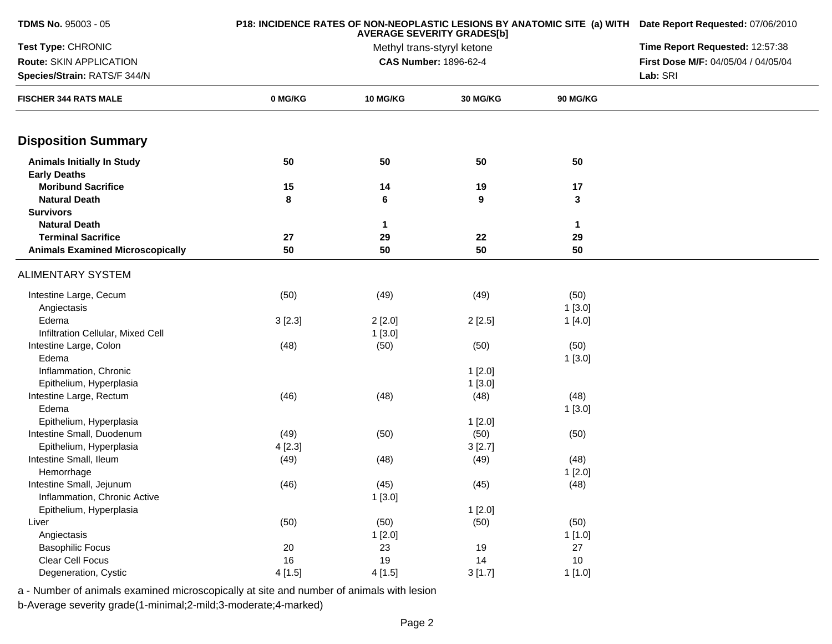| TDMS No. 95003 - 05                                      |         | P18: INCIDENCE RATES OF NON-NEOPLASTIC LESIONS BY ANATOMIC SITE (a) WITH Date Report Requested: 07/06/2010<br>Time Report Requested: 12:57:38 |                       |                      |                                     |
|----------------------------------------------------------|---------|-----------------------------------------------------------------------------------------------------------------------------------------------|-----------------------|----------------------|-------------------------------------|
| Test Type: CHRONIC                                       |         |                                                                                                                                               |                       |                      |                                     |
| Route: SKIN APPLICATION                                  |         |                                                                                                                                               | CAS Number: 1896-62-4 |                      | First Dose M/F: 04/05/04 / 04/05/04 |
| Species/Strain: RATS/F 344/N                             |         |                                                                                                                                               |                       |                      | Lab: SRI                            |
| <b>FISCHER 344 RATS MALE</b>                             | 0 MG/KG | <b>10 MG/KG</b>                                                                                                                               | <b>30 MG/KG</b>       | <b>90 MG/KG</b>      |                                     |
| <b>Disposition Summary</b>                               |         |                                                                                                                                               |                       |                      |                                     |
| <b>Animals Initially In Study</b><br><b>Early Deaths</b> | 50      | 50                                                                                                                                            | 50                    | 50                   |                                     |
| <b>Moribund Sacrifice</b>                                | 15      | 14                                                                                                                                            | 19                    | 17                   |                                     |
| <b>Natural Death</b>                                     | 8       | 6                                                                                                                                             | 9                     | $\mathbf{3}$         |                                     |
| <b>Survivors</b>                                         |         |                                                                                                                                               |                       |                      |                                     |
| <b>Natural Death</b>                                     |         | 1                                                                                                                                             |                       | $\blacktriangleleft$ |                                     |
| <b>Terminal Sacrifice</b>                                | 27      | 29                                                                                                                                            | 22                    | 29                   |                                     |
| <b>Animals Examined Microscopically</b>                  | 50      | 50                                                                                                                                            | 50                    | 50                   |                                     |
| <b>ALIMENTARY SYSTEM</b>                                 |         |                                                                                                                                               |                       |                      |                                     |
| Intestine Large, Cecum<br>Angiectasis                    | (50)    | (49)                                                                                                                                          | (49)                  | (50)<br>1[3.0]       |                                     |
| Edema                                                    | 3[2.3]  | 2[2.0]                                                                                                                                        | 2[2.5]                | 1[4.0]               |                                     |
| Infiltration Cellular, Mixed Cell                        |         | 1[3.0]                                                                                                                                        |                       |                      |                                     |
| Intestine Large, Colon                                   | (48)    | (50)                                                                                                                                          | (50)                  | (50)                 |                                     |
| Edema                                                    |         |                                                                                                                                               |                       | 1[3.0]               |                                     |
| Inflammation, Chronic                                    |         |                                                                                                                                               | 1[2.0]                |                      |                                     |
| Epithelium, Hyperplasia                                  |         |                                                                                                                                               | 1[3.0]                |                      |                                     |
| Intestine Large, Rectum                                  | (46)    | (48)                                                                                                                                          | (48)                  | (48)                 |                                     |
| Edema                                                    |         |                                                                                                                                               |                       | 1[3.0]               |                                     |
| Epithelium, Hyperplasia                                  |         |                                                                                                                                               | 1[2.0]                |                      |                                     |
| Intestine Small, Duodenum                                | (49)    | (50)                                                                                                                                          | (50)                  | (50)                 |                                     |
| Epithelium, Hyperplasia                                  | 4[2.3]  |                                                                                                                                               | 3[2.7]                |                      |                                     |
| Intestine Small, Ileum                                   | (49)    | (48)                                                                                                                                          | (49)                  | (48)                 |                                     |
| Hemorrhage                                               |         |                                                                                                                                               |                       | 1[2.0]               |                                     |
| Intestine Small, Jejunum                                 | (46)    | (45)                                                                                                                                          | (45)                  | (48)                 |                                     |
| Inflammation, Chronic Active                             |         | 1[3.0]                                                                                                                                        |                       |                      |                                     |
| Epithelium, Hyperplasia                                  |         |                                                                                                                                               | 1[2.0]                |                      |                                     |
| Liver                                                    | (50)    | (50)                                                                                                                                          | (50)                  | (50)                 |                                     |
| Angiectasis                                              |         | 1[2.0]                                                                                                                                        |                       | 1[1.0]               |                                     |
| <b>Basophilic Focus</b>                                  | 20      | 23                                                                                                                                            | 19                    | 27                   |                                     |
| Clear Cell Focus                                         | 16      | 19                                                                                                                                            | 14                    | 10                   |                                     |
| Degeneration, Cystic                                     | 4[1.5]  | 4[1.5]                                                                                                                                        | 3[1.7]                | 1[1.0]               |                                     |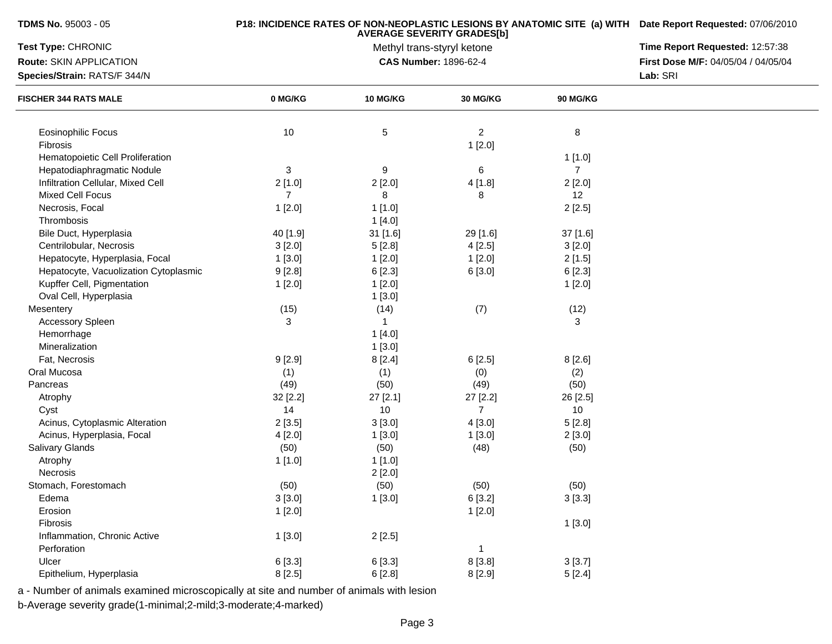| <b>TDMS No. 95003 - 05</b>            |                | P18: INCIDENCE RATES OF NON-NEOPLASTIC LESIONS BY ANATOMIC SITE (a) WITH Date Report Requested: 07/06/2010<br>Time Report Requested: 12:57:38 |                                                            |                |                                     |
|---------------------------------------|----------------|-----------------------------------------------------------------------------------------------------------------------------------------------|------------------------------------------------------------|----------------|-------------------------------------|
| Test Type: CHRONIC                    |                |                                                                                                                                               |                                                            |                |                                     |
| Route: SKIN APPLICATION               |                |                                                                                                                                               | Methyl trans-styryl ketone<br><b>CAS Number: 1896-62-4</b> |                | First Dose M/F: 04/05/04 / 04/05/04 |
| Species/Strain: RATS/F 344/N          |                |                                                                                                                                               |                                                            |                | Lab: SRI                            |
| <b>FISCHER 344 RATS MALE</b>          | 0 MG/KG        | 10 MG/KG                                                                                                                                      | 30 MG/KG                                                   | 90 MG/KG       |                                     |
|                                       |                |                                                                                                                                               |                                                            |                |                                     |
| Eosinophilic Focus                    | 10             | $\,$ 5 $\,$                                                                                                                                   | $\overline{2}$                                             | 8              |                                     |
| Fibrosis                              |                |                                                                                                                                               | 1[2.0]                                                     |                |                                     |
| Hematopoietic Cell Proliferation      |                |                                                                                                                                               |                                                            | 1[1.0]         |                                     |
| Hepatodiaphragmatic Nodule            | 3              | 9                                                                                                                                             | 6                                                          | $\overline{7}$ |                                     |
| Infiltration Cellular, Mixed Cell     | 2[1.0]         | 2[2.0]                                                                                                                                        | 4[1.8]                                                     | 2[2.0]         |                                     |
| <b>Mixed Cell Focus</b>               | $\overline{7}$ | 8                                                                                                                                             | 8                                                          | 12             |                                     |
| Necrosis, Focal                       | 1[2.0]         | 1[1.0]                                                                                                                                        |                                                            | 2[2.5]         |                                     |
| Thrombosis                            |                | 1[4.0]                                                                                                                                        |                                                            |                |                                     |
| Bile Duct, Hyperplasia                | 40 [1.9]       | 31 [1.6]                                                                                                                                      | 29 [1.6]                                                   | 37 [1.6]       |                                     |
| Centrilobular, Necrosis               | 3[2.0]         | 5[2.8]                                                                                                                                        | 4[2.5]                                                     | 3[2.0]         |                                     |
| Hepatocyte, Hyperplasia, Focal        | 1[3.0]         | 1[2.0]                                                                                                                                        | 1[2.0]                                                     | 2[1.5]         |                                     |
| Hepatocyte, Vacuolization Cytoplasmic | 9[2.8]         | 6[2.3]                                                                                                                                        | 6[3.0]                                                     | 6[2.3]         |                                     |
| Kupffer Cell, Pigmentation            | 1[2.0]         | 1[2.0]                                                                                                                                        |                                                            | 1[2.0]         |                                     |
| Oval Cell, Hyperplasia                |                | 1[3.0]                                                                                                                                        |                                                            |                |                                     |
| Mesentery                             | (15)           | (14)                                                                                                                                          | (7)                                                        | (12)           |                                     |
| <b>Accessory Spleen</b>               | 3              | -1                                                                                                                                            |                                                            | 3              |                                     |
| Hemorrhage                            |                | 1[4.0]                                                                                                                                        |                                                            |                |                                     |
| Mineralization                        |                | 1[3.0]                                                                                                                                        |                                                            |                |                                     |
| Fat, Necrosis                         | 9[2.9]         | 8[2.4]                                                                                                                                        | 6[2.5]                                                     | 8[2.6]         |                                     |
| Oral Mucosa                           | (1)            | (1)                                                                                                                                           | (0)                                                        | (2)            |                                     |
| Pancreas                              | (49)           | (50)                                                                                                                                          | (49)                                                       | (50)           |                                     |
| Atrophy                               | 32 [2.2]       | 27 [2.1]                                                                                                                                      | 27 [2.2]                                                   | 26 [2.5]       |                                     |
| Cyst                                  | 14             | 10                                                                                                                                            | $\overline{7}$                                             | 10             |                                     |
| Acinus, Cytoplasmic Alteration        | 2[3.5]         | 3[3.0]                                                                                                                                        | 4[3.0]                                                     | 5[2.8]         |                                     |
| Acinus, Hyperplasia, Focal            | 4[2.0]         | 1[3.0]                                                                                                                                        | 1[3.0]                                                     | 2[3.0]         |                                     |
| Salivary Glands                       | (50)           | (50)                                                                                                                                          | (48)                                                       | (50)           |                                     |
| Atrophy                               | 1[1.0]         | 1[1.0]                                                                                                                                        |                                                            |                |                                     |
| Necrosis                              |                | 2[2.0]                                                                                                                                        |                                                            |                |                                     |
| Stomach, Forestomach                  | (50)           | (50)                                                                                                                                          | (50)                                                       | (50)           |                                     |
| Edema                                 | 3[3.0]         | 1[3.0]                                                                                                                                        | 6 [3.2]                                                    | 3[3.3]         |                                     |
| Erosion                               | 1[2.0]         |                                                                                                                                               | 1[2.0]                                                     |                |                                     |
| Fibrosis                              |                |                                                                                                                                               |                                                            | 1[3.0]         |                                     |
| Inflammation, Chronic Active          | 1[3.0]         | 2[2.5]                                                                                                                                        |                                                            |                |                                     |
| Perforation                           |                |                                                                                                                                               | $\mathbf{1}$                                               |                |                                     |
| Ulcer                                 | 6 [3.3]        | 6 [3.3]                                                                                                                                       | 8[3.8]                                                     | 3[3.7]         |                                     |
| Epithelium, Hyperplasia               | 8[2.5]         | 6[2.8]                                                                                                                                        | 8 [2.9]                                                    | 5[2.4]         |                                     |
|                                       |                |                                                                                                                                               |                                                            |                |                                     |

b-Average severity grade(1-minimal;2-mild;3-moderate;4-marked)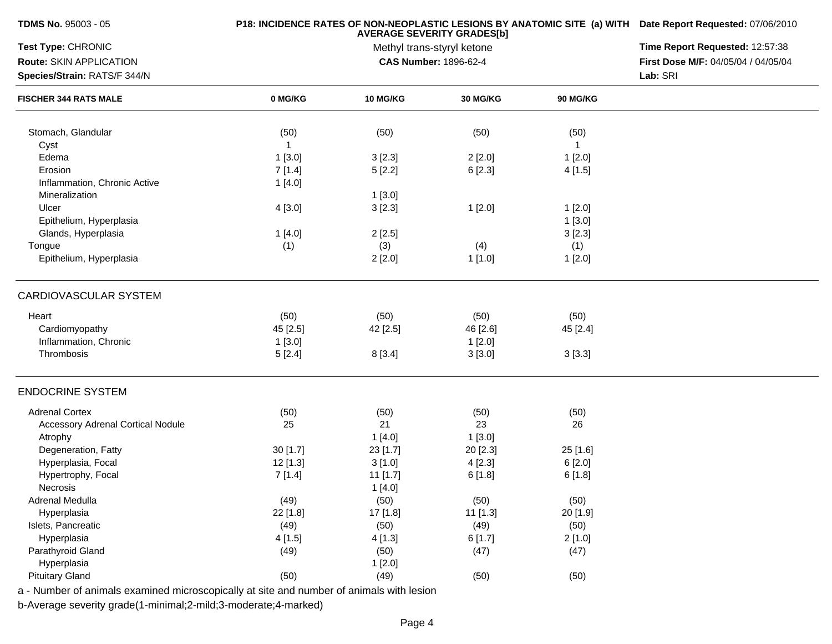|              | P18: INCIDENCE RATES OF NON-NEOPLASTIC LESIONS BY ANATOMIC SITE (a) WITH Date Report Requested: 07/06/2010<br>Time Report Requested: 12:57:38 |                                                                                                                                                                       |                                                                                                                                                                                                                                            |                                                                                                                              |
|--------------|-----------------------------------------------------------------------------------------------------------------------------------------------|-----------------------------------------------------------------------------------------------------------------------------------------------------------------------|--------------------------------------------------------------------------------------------------------------------------------------------------------------------------------------------------------------------------------------------|------------------------------------------------------------------------------------------------------------------------------|
|              |                                                                                                                                               |                                                                                                                                                                       |                                                                                                                                                                                                                                            |                                                                                                                              |
|              |                                                                                                                                               |                                                                                                                                                                       |                                                                                                                                                                                                                                            | First Dose M/F: 04/05/04 / 04/05/04                                                                                          |
|              |                                                                                                                                               |                                                                                                                                                                       |                                                                                                                                                                                                                                            | Lab: SRI                                                                                                                     |
| 0 MG/KG      | <b>10 MG/KG</b>                                                                                                                               | 30 MG/KG                                                                                                                                                              | 90 MG/KG                                                                                                                                                                                                                                   |                                                                                                                              |
| (50)         | (50)                                                                                                                                          | (50)                                                                                                                                                                  | (50)                                                                                                                                                                                                                                       |                                                                                                                              |
| $\mathbf{1}$ |                                                                                                                                               |                                                                                                                                                                       | $\overline{1}$                                                                                                                                                                                                                             |                                                                                                                              |
|              |                                                                                                                                               |                                                                                                                                                                       |                                                                                                                                                                                                                                            |                                                                                                                              |
|              |                                                                                                                                               |                                                                                                                                                                       |                                                                                                                                                                                                                                            |                                                                                                                              |
| 1[4.0]       |                                                                                                                                               |                                                                                                                                                                       |                                                                                                                                                                                                                                            |                                                                                                                              |
|              |                                                                                                                                               |                                                                                                                                                                       |                                                                                                                                                                                                                                            |                                                                                                                              |
| 4[3.0]       | 3[2.3]                                                                                                                                        | 1[2.0]                                                                                                                                                                | 1[2.0]                                                                                                                                                                                                                                     |                                                                                                                              |
|              |                                                                                                                                               |                                                                                                                                                                       | 1[3.0]                                                                                                                                                                                                                                     |                                                                                                                              |
| 1[4.0]       | 2[2.5]                                                                                                                                        |                                                                                                                                                                       | 3[2.3]                                                                                                                                                                                                                                     |                                                                                                                              |
| (1)          | (3)                                                                                                                                           | (4)                                                                                                                                                                   | (1)                                                                                                                                                                                                                                        |                                                                                                                              |
|              | 2[2.0]                                                                                                                                        | 1[1.0]                                                                                                                                                                | 1[2.0]                                                                                                                                                                                                                                     |                                                                                                                              |
|              |                                                                                                                                               |                                                                                                                                                                       |                                                                                                                                                                                                                                            |                                                                                                                              |
|              |                                                                                                                                               |                                                                                                                                                                       |                                                                                                                                                                                                                                            |                                                                                                                              |
|              |                                                                                                                                               |                                                                                                                                                                       |                                                                                                                                                                                                                                            |                                                                                                                              |
|              |                                                                                                                                               |                                                                                                                                                                       |                                                                                                                                                                                                                                            |                                                                                                                              |
| 5[2.4]       | 8[3.4]                                                                                                                                        | 3[3.0]                                                                                                                                                                | 3[3.3]                                                                                                                                                                                                                                     |                                                                                                                              |
|              |                                                                                                                                               |                                                                                                                                                                       |                                                                                                                                                                                                                                            |                                                                                                                              |
|              |                                                                                                                                               |                                                                                                                                                                       |                                                                                                                                                                                                                                            |                                                                                                                              |
| 25           | 21                                                                                                                                            | 23                                                                                                                                                                    | 26                                                                                                                                                                                                                                         |                                                                                                                              |
|              |                                                                                                                                               |                                                                                                                                                                       |                                                                                                                                                                                                                                            |                                                                                                                              |
|              |                                                                                                                                               |                                                                                                                                                                       |                                                                                                                                                                                                                                            |                                                                                                                              |
|              |                                                                                                                                               |                                                                                                                                                                       |                                                                                                                                                                                                                                            |                                                                                                                              |
|              |                                                                                                                                               |                                                                                                                                                                       |                                                                                                                                                                                                                                            |                                                                                                                              |
|              |                                                                                                                                               |                                                                                                                                                                       |                                                                                                                                                                                                                                            |                                                                                                                              |
|              |                                                                                                                                               |                                                                                                                                                                       |                                                                                                                                                                                                                                            |                                                                                                                              |
|              |                                                                                                                                               |                                                                                                                                                                       |                                                                                                                                                                                                                                            |                                                                                                                              |
|              |                                                                                                                                               |                                                                                                                                                                       |                                                                                                                                                                                                                                            |                                                                                                                              |
|              |                                                                                                                                               |                                                                                                                                                                       |                                                                                                                                                                                                                                            |                                                                                                                              |
|              |                                                                                                                                               |                                                                                                                                                                       |                                                                                                                                                                                                                                            |                                                                                                                              |
|              |                                                                                                                                               |                                                                                                                                                                       |                                                                                                                                                                                                                                            |                                                                                                                              |
| (50)         | (49)                                                                                                                                          | (50)                                                                                                                                                                  | (50)                                                                                                                                                                                                                                       |                                                                                                                              |
|              | 1[3.0]<br>7[1.4]<br>(50)<br>45 [2.5]<br>1[3.0]<br>(50)<br>30[1.7]<br>$12$ [1.3]<br>7[1.4]<br>(49)<br>22 [1.8]<br>(49)<br>4 [1.5]<br>(49)      | 3[2.3]<br>5[2.2]<br>1[3.0]<br>(50)<br>42 [2.5]<br>(50)<br>1[4.0]<br>23 [1.7]<br>3[1.0]<br>11 [1.7]<br>1[4.0]<br>(50)<br>17 [1.8]<br>(50)<br>4 [1.3]<br>(50)<br>1[2.0] | <b>AVERAGE SEVERITY GRADES[b]</b><br>Methyl trans-styryl ketone<br>CAS Number: 1896-62-4<br>2[2.0]<br>6[2.3]<br>(50)<br>46 [2.6]<br>1[2.0]<br>(50)<br>1[3.0]<br>20 [2.3]<br>4[2.3]<br>6[1.8]<br>(50)<br>11 [1.3]<br>(49)<br>6[1.7]<br>(47) | 1[2.0]<br>4 [1.5]<br>(50)<br>45 [2.4]<br>(50)<br>25 [1.6]<br>6[2.0]<br>6 [1.8]<br>(50)<br>20 [1.9]<br>(50)<br>2[1.0]<br>(47) |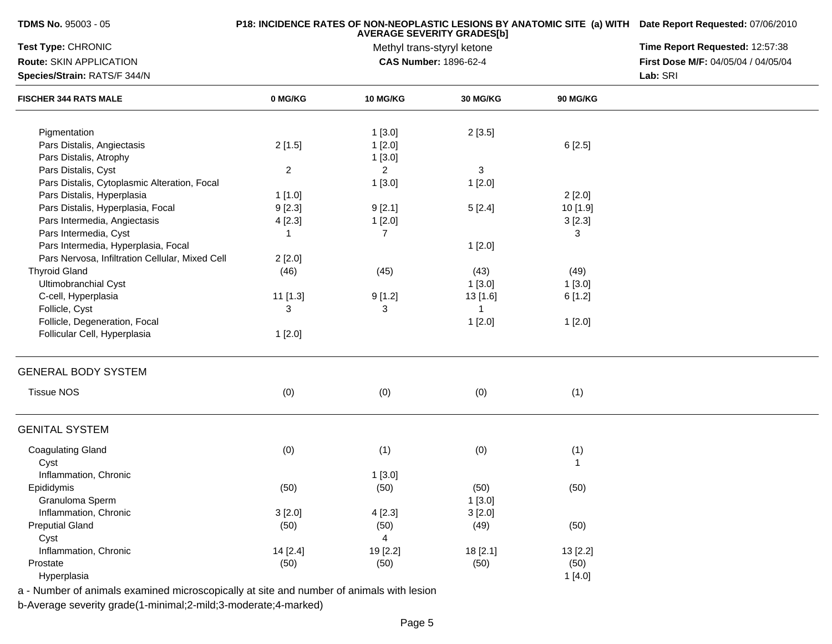| <b>TDMS No. 95003 - 05</b>                      |              | P18: INCIDENCE RATES OF NON-NEOPLASTIC LESIONS BY ANATOMIC SITE (a) WITH Date Report Requested: 07/06/2010<br>Time Report Requested: 12:57:38 |                                                     |              |                                     |
|-------------------------------------------------|--------------|-----------------------------------------------------------------------------------------------------------------------------------------------|-----------------------------------------------------|--------------|-------------------------------------|
| Test Type: CHRONIC                              |              |                                                                                                                                               |                                                     |              |                                     |
| Route: SKIN APPLICATION                         |              |                                                                                                                                               | Methyl trans-styryl ketone<br>CAS Number: 1896-62-4 |              | First Dose M/F: 04/05/04 / 04/05/04 |
| Species/Strain: RATS/F 344/N                    |              |                                                                                                                                               |                                                     |              | Lab: SRI                            |
| <b>FISCHER 344 RATS MALE</b>                    | 0 MG/KG      | 10 MG/KG                                                                                                                                      | 30 MG/KG                                            | 90 MG/KG     |                                     |
| Pigmentation                                    |              | 1[3.0]                                                                                                                                        | 2[3.5]                                              |              |                                     |
| Pars Distalis, Angiectasis                      | 2[1.5]       | 1[2.0]                                                                                                                                        |                                                     | 6[2.5]       |                                     |
| Pars Distalis, Atrophy                          |              | 1[3.0]                                                                                                                                        |                                                     |              |                                     |
| Pars Distalis, Cyst                             | $\mathbf{2}$ | $\overline{2}$                                                                                                                                | $\sqrt{3}$                                          |              |                                     |
| Pars Distalis, Cytoplasmic Alteration, Focal    |              | 1[3.0]                                                                                                                                        | 1[2.0]                                              |              |                                     |
| Pars Distalis, Hyperplasia                      | 1[1.0]       |                                                                                                                                               |                                                     | 2[2.0]       |                                     |
| Pars Distalis, Hyperplasia, Focal               | 9[2.3]       | 9[2.1]                                                                                                                                        | 5[2.4]                                              | 10 [1.9]     |                                     |
| Pars Intermedia, Angiectasis                    | 4[2.3]       | 1[2.0]                                                                                                                                        |                                                     | 3[2.3]       |                                     |
| Pars Intermedia, Cyst                           | -1           | 7                                                                                                                                             |                                                     | 3            |                                     |
| Pars Intermedia, Hyperplasia, Focal             |              |                                                                                                                                               | 1[2.0]                                              |              |                                     |
| Pars Nervosa, Infiltration Cellular, Mixed Cell | 2[2.0]       |                                                                                                                                               |                                                     |              |                                     |
| <b>Thyroid Gland</b>                            | (46)         | (45)                                                                                                                                          | (43)                                                | (49)         |                                     |
| Ultimobranchial Cyst                            |              |                                                                                                                                               | 1[3.0]                                              | 1[3.0]       |                                     |
| C-cell, Hyperplasia                             | 11 [1.3]     | 9[1.2]                                                                                                                                        | 13 [1.6]                                            | 6[1.2]       |                                     |
| Follicle, Cyst                                  | 3            | 3                                                                                                                                             | $\overline{1}$                                      |              |                                     |
| Follicle, Degeneration, Focal                   |              |                                                                                                                                               | 1[2.0]                                              | 1[2.0]       |                                     |
| Follicular Cell, Hyperplasia                    | 1[2.0]       |                                                                                                                                               |                                                     |              |                                     |
| <b>GENERAL BODY SYSTEM</b>                      |              |                                                                                                                                               |                                                     |              |                                     |
| <b>Tissue NOS</b>                               | (0)          | (0)                                                                                                                                           | (0)                                                 | (1)          |                                     |
| <b>GENITAL SYSTEM</b>                           |              |                                                                                                                                               |                                                     |              |                                     |
| <b>Coagulating Gland</b>                        | (0)          | (1)                                                                                                                                           | (0)                                                 | (1)          |                                     |
| Cyst                                            |              |                                                                                                                                               |                                                     | $\mathbf{1}$ |                                     |
| Inflammation, Chronic                           |              | 1[3.0]                                                                                                                                        |                                                     |              |                                     |
| Epididymis                                      | (50)         | (50)                                                                                                                                          | (50)                                                | (50)         |                                     |
| Granuloma Sperm                                 |              |                                                                                                                                               | 1[3.0]                                              |              |                                     |
| Inflammation, Chronic                           | 3[2.0]       | 4[2.3]                                                                                                                                        | 3[2.0]                                              |              |                                     |
| <b>Preputial Gland</b>                          | (50)         | (50)                                                                                                                                          | (49)                                                | (50)         |                                     |
| Cyst                                            |              | $\overline{4}$                                                                                                                                |                                                     |              |                                     |
| Inflammation, Chronic                           | 14 [2.4]     | 19 [2.2]                                                                                                                                      | 18 [2.1]                                            | 13 [2.2]     |                                     |
| Prostate                                        | (50)         | (50)                                                                                                                                          | (50)                                                | (50)         |                                     |
| Hyperplasia                                     |              |                                                                                                                                               |                                                     | 1[4.0]       |                                     |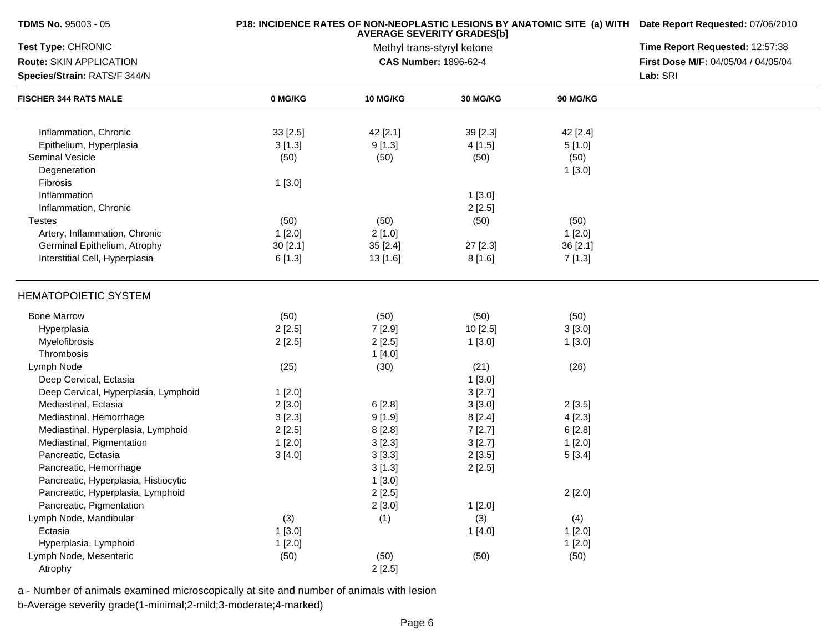| TDMS No. 95003 - 05                  |          | P18: INCIDENCE RATES OF NON-NEOPLASTIC LESIONS BY ANATOMIC SITE (a) WITH Date Report Requested: 07/06/2010<br>Time Report Requested: 12:57:38 |                                                     |                 |                                     |
|--------------------------------------|----------|-----------------------------------------------------------------------------------------------------------------------------------------------|-----------------------------------------------------|-----------------|-------------------------------------|
| Test Type: CHRONIC                   |          |                                                                                                                                               |                                                     |                 |                                     |
| Route: SKIN APPLICATION              |          |                                                                                                                                               | Methyl trans-styryl ketone<br>CAS Number: 1896-62-4 |                 | First Dose M/F: 04/05/04 / 04/05/04 |
| Species/Strain: RATS/F 344/N         |          |                                                                                                                                               |                                                     |                 | Lab: SRI                            |
| <b>FISCHER 344 RATS MALE</b>         | 0 MG/KG  | <b>10 MG/KG</b>                                                                                                                               | <b>30 MG/KG</b>                                     | <b>90 MG/KG</b> |                                     |
| Inflammation, Chronic                | 33[2.5]  | 42 [2.1]                                                                                                                                      | 39 [2.3]                                            | 42 [2.4]        |                                     |
| Epithelium, Hyperplasia              | 3[1.3]   | 9[1.3]                                                                                                                                        | 4[1.5]                                              | 5[1.0]          |                                     |
| <b>Seminal Vesicle</b>               | (50)     | (50)                                                                                                                                          | (50)                                                | (50)            |                                     |
| Degeneration                         |          |                                                                                                                                               |                                                     | 1[3.0]          |                                     |
| Fibrosis                             | 1[3.0]   |                                                                                                                                               |                                                     |                 |                                     |
| Inflammation                         |          |                                                                                                                                               | 1[3.0]                                              |                 |                                     |
| Inflammation, Chronic                |          |                                                                                                                                               | 2[2.5]                                              |                 |                                     |
| <b>Testes</b>                        | (50)     | (50)                                                                                                                                          | (50)                                                | (50)            |                                     |
| Artery, Inflammation, Chronic        | 1[2.0]   | 2[1.0]                                                                                                                                        |                                                     | 1[2.0]          |                                     |
| Germinal Epithelium, Atrophy         | 30 [2.1] | 35 [2.4]                                                                                                                                      | 27 [2.3]                                            | 36 [2.1]        |                                     |
| Interstitial Cell, Hyperplasia       | 6[1.3]   | 13 [1.6]                                                                                                                                      | 8[1.6]                                              | 7[1.3]          |                                     |
|                                      |          |                                                                                                                                               |                                                     |                 |                                     |
| <b>HEMATOPOIETIC SYSTEM</b>          |          |                                                                                                                                               |                                                     |                 |                                     |
| <b>Bone Marrow</b>                   | (50)     | (50)                                                                                                                                          | (50)                                                | (50)            |                                     |
| Hyperplasia                          | 2[2.5]   | 7[2.9]                                                                                                                                        | 10[2.5]                                             | 3[3.0]          |                                     |
| Myelofibrosis                        | 2[2.5]   | 2[2.5]                                                                                                                                        | 1[3.0]                                              | 1[3.0]          |                                     |
| Thrombosis                           |          | 1[4.0]                                                                                                                                        |                                                     |                 |                                     |
| Lymph Node                           | (25)     | (30)                                                                                                                                          | (21)                                                | (26)            |                                     |
| Deep Cervical, Ectasia               |          |                                                                                                                                               | 1[3.0]                                              |                 |                                     |
| Deep Cervical, Hyperplasia, Lymphoid | 1[2.0]   |                                                                                                                                               | 3[2.7]                                              |                 |                                     |
| Mediastinal, Ectasia                 | 2[3.0]   | 6[2.8]                                                                                                                                        | 3[3.0]                                              | 2[3.5]          |                                     |
| Mediastinal, Hemorrhage              | 3[2.3]   | 9[1.9]                                                                                                                                        | 8[2.4]                                              | 4[2.3]          |                                     |
| Mediastinal, Hyperplasia, Lymphoid   | 2[2.5]   | 8[2.8]                                                                                                                                        | 7[2.7]                                              | 6[2.8]          |                                     |
| Mediastinal, Pigmentation            | 1[2.0]   | 3[2.3]                                                                                                                                        | 3[2.7]                                              | 1[2.0]          |                                     |
| Pancreatic, Ectasia                  | 3[4.0]   | 3[3.3]                                                                                                                                        | 2[3.5]                                              | 5[3.4]          |                                     |
| Pancreatic, Hemorrhage               |          | 3[1.3]                                                                                                                                        | 2[2.5]                                              |                 |                                     |
| Pancreatic, Hyperplasia, Histiocytic |          | 1[3.0]                                                                                                                                        |                                                     |                 |                                     |
| Pancreatic, Hyperplasia, Lymphoid    |          | 2[2.5]                                                                                                                                        |                                                     | 2[2.0]          |                                     |
| Pancreatic, Pigmentation             |          | 2[3.0]                                                                                                                                        | 1[2.0]                                              |                 |                                     |
| Lymph Node, Mandibular               | (3)      | (1)                                                                                                                                           | (3)                                                 | (4)             |                                     |
| Ectasia                              | 1[3.0]   |                                                                                                                                               | 1[4.0]                                              | 1[2.0]          |                                     |
| Hyperplasia, Lymphoid                | 1[2.0]   |                                                                                                                                               |                                                     | 1[2.0]          |                                     |
| Lymph Node, Mesenteric               | (50)     | (50)                                                                                                                                          | (50)                                                | (50)            |                                     |
| Atrophy                              |          | 2[2.5]                                                                                                                                        |                                                     |                 |                                     |
|                                      |          |                                                                                                                                               |                                                     |                 |                                     |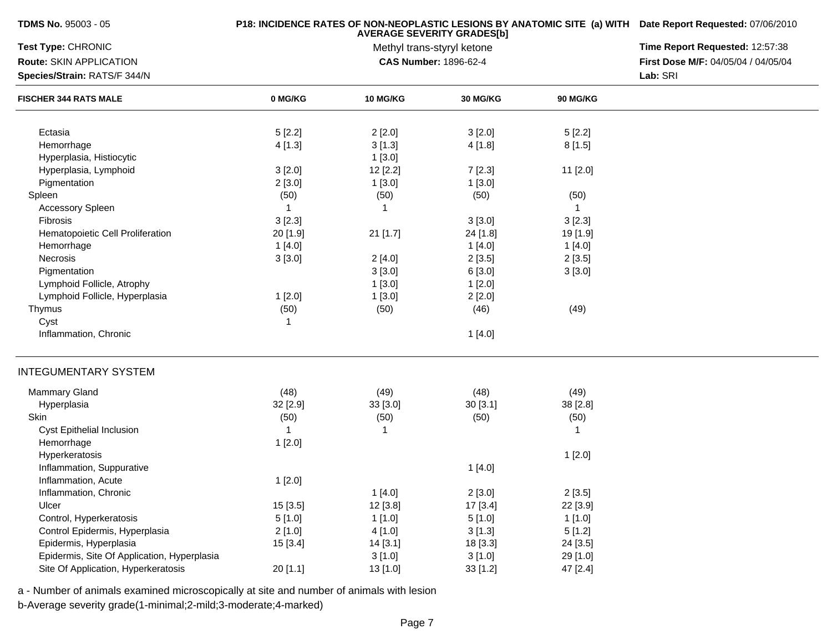| <b>TDMS No. 95003 - 05</b>                  |              | P18: INCIDENCE RATES OF NON-NEOPLASTIC LESIONS BY ANATOMIC SITE (a) WITH Date Report Requested: 07/06/2010 |                                                                 |                 |                                     |
|---------------------------------------------|--------------|------------------------------------------------------------------------------------------------------------|-----------------------------------------------------------------|-----------------|-------------------------------------|
| Test Type: CHRONIC                          |              |                                                                                                            | <b>AVERAGE SEVERITY GRADES[b]</b><br>Methyl trans-styryl ketone |                 | Time Report Requested: 12:57:38     |
| Route: SKIN APPLICATION                     |              |                                                                                                            | <b>CAS Number: 1896-62-4</b>                                    |                 | First Dose M/F: 04/05/04 / 04/05/04 |
| Species/Strain: RATS/F 344/N                |              |                                                                                                            |                                                                 |                 | Lab: SRI                            |
| <b>FISCHER 344 RATS MALE</b>                | 0 MG/KG      | 10 MG/KG                                                                                                   | 30 MG/KG                                                        | <b>90 MG/KG</b> |                                     |
|                                             |              |                                                                                                            |                                                                 |                 |                                     |
| Ectasia                                     | 5[2.2]       | 2[2.0]                                                                                                     | 3[2.0]                                                          | 5[2.2]          |                                     |
| Hemorrhage                                  | 4[1.3]       | 3[1.3]                                                                                                     | 4[1.8]                                                          | 8[1.5]          |                                     |
| Hyperplasia, Histiocytic                    |              | 1[3.0]                                                                                                     |                                                                 |                 |                                     |
| Hyperplasia, Lymphoid                       | 3[2.0]       | 12 [2.2]                                                                                                   | 7[2.3]                                                          | 11 [2.0]        |                                     |
| Pigmentation                                | 2[3.0]       | 1[3.0]                                                                                                     | 1[3.0]                                                          |                 |                                     |
| Spleen                                      | (50)         | (50)                                                                                                       | (50)                                                            | (50)            |                                     |
| <b>Accessory Spleen</b>                     | $\mathbf{1}$ | -1                                                                                                         |                                                                 | $\mathbf 1$     |                                     |
| Fibrosis                                    | 3[2.3]       |                                                                                                            | 3[3.0]                                                          | 3[2.3]          |                                     |
| Hematopoietic Cell Proliferation            | 20 [1.9]     | 21 [1.7]                                                                                                   | 24 [1.8]                                                        | 19 [1.9]        |                                     |
| Hemorrhage                                  | 1[4.0]       |                                                                                                            | 1[4.0]                                                          | 1[4.0]          |                                     |
| Necrosis                                    | 3[3.0]       | 2[4.0]                                                                                                     | 2[3.5]                                                          | 2[3.5]          |                                     |
| Pigmentation                                |              | 3[3.0]                                                                                                     | 6[3.0]                                                          | 3[3.0]          |                                     |
| Lymphoid Follicle, Atrophy                  |              | 1[3.0]                                                                                                     | 1[2.0]                                                          |                 |                                     |
| Lymphoid Follicle, Hyperplasia              | 1[2.0]       | 1[3.0]                                                                                                     | 2[2.0]                                                          |                 |                                     |
| Thymus                                      | (50)         | (50)                                                                                                       | (46)                                                            | (49)            |                                     |
| Cyst                                        | 1            |                                                                                                            |                                                                 |                 |                                     |
| Inflammation, Chronic                       |              |                                                                                                            | 1[4.0]                                                          |                 |                                     |
| <b>INTEGUMENTARY SYSTEM</b>                 |              |                                                                                                            |                                                                 |                 |                                     |
| <b>Mammary Gland</b>                        | (48)         | (49)                                                                                                       | (48)                                                            | (49)            |                                     |
| Hyperplasia                                 | 32 [2.9]     | 33 [3.0]                                                                                                   | 30[3.1]                                                         | 38 [2.8]        |                                     |
| Skin                                        | (50)         | (50)                                                                                                       | (50)                                                            | (50)            |                                     |
| Cyst Epithelial Inclusion                   | $\mathbf{1}$ | $\mathbf{1}$                                                                                               |                                                                 | -1              |                                     |
| Hemorrhage                                  | 1[2.0]       |                                                                                                            |                                                                 |                 |                                     |
| Hyperkeratosis                              |              |                                                                                                            |                                                                 | 1[2.0]          |                                     |
| Inflammation, Suppurative                   |              |                                                                                                            | 1[4.0]                                                          |                 |                                     |
| Inflammation, Acute                         | 1[2.0]       |                                                                                                            |                                                                 |                 |                                     |
| Inflammation, Chronic                       |              | 1[4.0]                                                                                                     | 2[3.0]                                                          | 2[3.5]          |                                     |
| Ulcer                                       | 15 [3.5]     | 12 [3.8]                                                                                                   | 17 [3.4]                                                        | 22 [3.9]        |                                     |
| Control, Hyperkeratosis                     | 5[1.0]       | 1[1.0]                                                                                                     | 5[1.0]                                                          | 1[1.0]          |                                     |
| Control Epidermis, Hyperplasia              | 2[1.0]       | 4 [1.0]                                                                                                    | 3[1.3]                                                          | 5[1.2]          |                                     |
| Epidermis, Hyperplasia                      | 15 [3.4]     | 14 [3.1]                                                                                                   | 18 [3.3]                                                        | 24 [3.5]        |                                     |
| Epidermis, Site Of Application, Hyperplasia |              | 3[1.0]                                                                                                     | 3[1.0]                                                          | 29 [1.0]        |                                     |
| Site Of Application, Hyperkeratosis         | 20 [1.1]     | 13 [1.0]                                                                                                   | 33[1.2]                                                         | 47 [2.4]        |                                     |
|                                             |              |                                                                                                            |                                                                 |                 |                                     |

b-Average severity grade(1-minimal;2-mild;3-moderate;4-marked)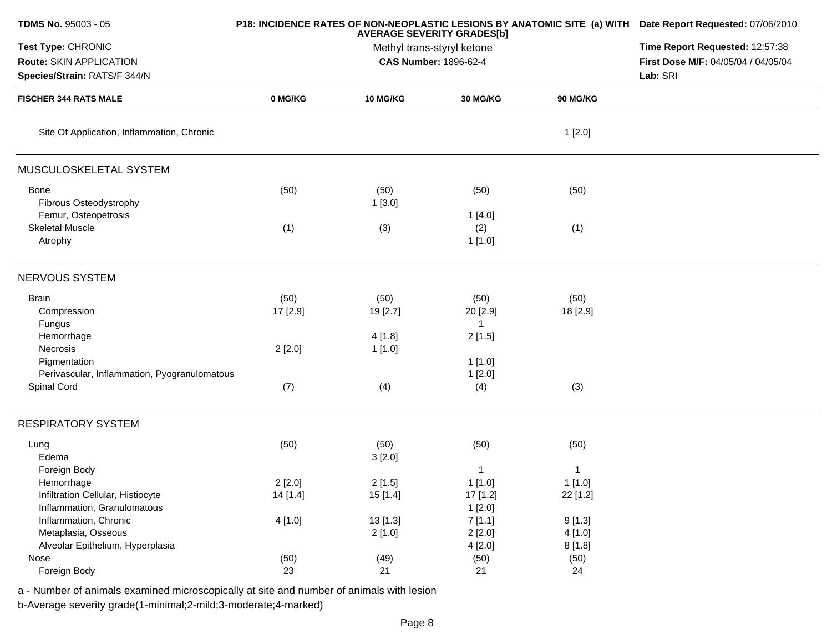| TDMS No. 95003 - 05                          |          | P18: INCIDENCE RATES OF NON-NEOPLASTIC LESIONS BY ANATOMIC SITE (a) WITH Date Report Requested: 07/06/2010<br>Time Report Requested: 12:57:38 |                       |                 |                                     |
|----------------------------------------------|----------|-----------------------------------------------------------------------------------------------------------------------------------------------|-----------------------|-----------------|-------------------------------------|
| Test Type: CHRONIC                           |          |                                                                                                                                               |                       |                 |                                     |
| Route: SKIN APPLICATION                      |          |                                                                                                                                               | CAS Number: 1896-62-4 |                 | First Dose M/F: 04/05/04 / 04/05/04 |
| Species/Strain: RATS/F 344/N                 |          |                                                                                                                                               |                       |                 | Lab: SRI                            |
| <b>FISCHER 344 RATS MALE</b>                 | 0 MG/KG  | <b>10 MG/KG</b>                                                                                                                               | <b>30 MG/KG</b>       | <b>90 MG/KG</b> |                                     |
| Site Of Application, Inflammation, Chronic   |          |                                                                                                                                               |                       | 1[2.0]          |                                     |
| MUSCULOSKELETAL SYSTEM                       |          |                                                                                                                                               |                       |                 |                                     |
| <b>Bone</b>                                  | (50)     | (50)                                                                                                                                          | (50)                  | (50)            |                                     |
| Fibrous Osteodystrophy                       |          | 1[3.0]                                                                                                                                        |                       |                 |                                     |
| Femur, Osteopetrosis                         |          |                                                                                                                                               | 1[4.0]                |                 |                                     |
| <b>Skeletal Muscle</b>                       | (1)      | (3)                                                                                                                                           | (2)                   | (1)             |                                     |
| Atrophy                                      |          |                                                                                                                                               | 1[1.0]                |                 |                                     |
| NERVOUS SYSTEM                               |          |                                                                                                                                               |                       |                 |                                     |
| <b>Brain</b>                                 | (50)     | (50)                                                                                                                                          | (50)                  | (50)            |                                     |
| Compression                                  | 17 [2.9] | 19 [2.7]                                                                                                                                      | 20 [2.9]              | 18 [2.9]        |                                     |
| Fungus                                       |          |                                                                                                                                               | 1                     |                 |                                     |
| Hemorrhage                                   |          | 4[1.8]                                                                                                                                        | 2[1.5]                |                 |                                     |
| Necrosis                                     | 2[2.0]   | 1 [1.0]                                                                                                                                       |                       |                 |                                     |
| Pigmentation                                 |          |                                                                                                                                               | 1[1.0]                |                 |                                     |
| Perivascular, Inflammation, Pyogranulomatous |          |                                                                                                                                               | 1[2.0]                |                 |                                     |
| Spinal Cord                                  | (7)      | (4)                                                                                                                                           | (4)                   | (3)             |                                     |
| <b>RESPIRATORY SYSTEM</b>                    |          |                                                                                                                                               |                       |                 |                                     |
| Lung                                         | (50)     | (50)                                                                                                                                          | (50)                  | (50)            |                                     |
| Edema                                        |          | 3[2.0]                                                                                                                                        |                       |                 |                                     |
| Foreign Body                                 |          |                                                                                                                                               | 1                     | 1               |                                     |
| Hemorrhage                                   | 2[2.0]   | 2[1.5]                                                                                                                                        | 1[1.0]                | 1[1.0]          |                                     |
| Infiltration Cellular, Histiocyte            | 14 [1.4] | 15 [1.4]                                                                                                                                      | 17 [1.2]              | 22 [1.2]        |                                     |
| Inflammation, Granulomatous                  |          |                                                                                                                                               | 1[2.0]                |                 |                                     |
| Inflammation, Chronic                        | 4[1.0]   | 13 [1.3]                                                                                                                                      | 7[1.1]                | 9[1.3]          |                                     |
| Metaplasia, Osseous                          |          | 2[1.0]                                                                                                                                        | 2[2.0]                | 4[1.0]          |                                     |
| Alveolar Epithelium, Hyperplasia             |          |                                                                                                                                               | 4[2.0]                | 8[1.8]          |                                     |
| Nose                                         | (50)     | (49)                                                                                                                                          | (50)                  | (50)            |                                     |
| Foreign Body                                 | 23       | 21                                                                                                                                            | 21                    | 24              |                                     |
|                                              |          |                                                                                                                                               |                       |                 |                                     |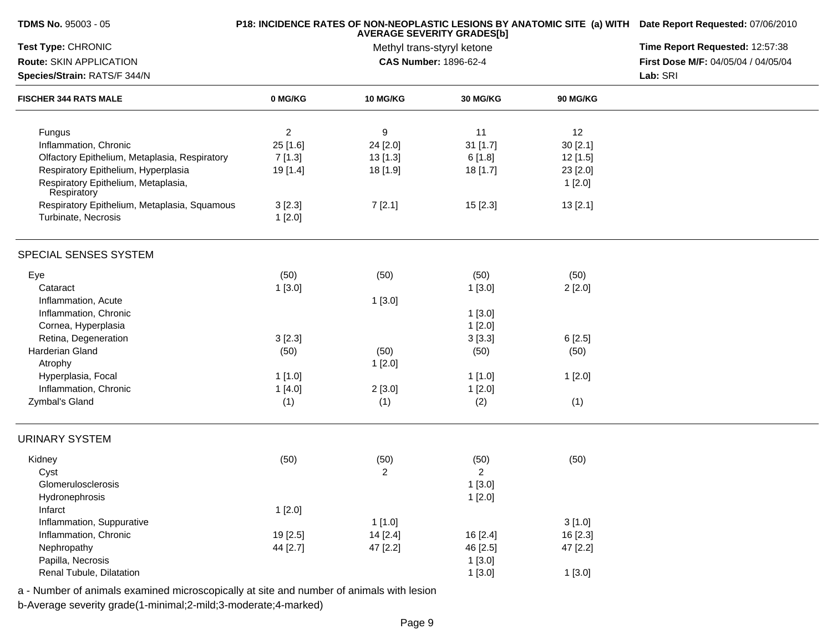| <b>TDMS No. 95003 - 05</b>                         |          | P18: INCIDENCE RATES OF NON-NEOPLASTIC LESIONS BY ANATOMIC SITE (a) WITH Date Report Requested: 07/06/2010 |                                                                 |                 |                                     |
|----------------------------------------------------|----------|------------------------------------------------------------------------------------------------------------|-----------------------------------------------------------------|-----------------|-------------------------------------|
| Test Type: CHRONIC                                 |          |                                                                                                            | <b>AVERAGE SEVERITY GRADES[b]</b><br>Methyl trans-styryl ketone |                 | Time Report Requested: 12:57:38     |
| Route: SKIN APPLICATION                            |          |                                                                                                            | CAS Number: 1896-62-4                                           |                 | First Dose M/F: 04/05/04 / 04/05/04 |
| Species/Strain: RATS/F 344/N                       |          |                                                                                                            |                                                                 |                 | Lab: SRI                            |
| <b>FISCHER 344 RATS MALE</b>                       | 0 MG/KG  | <b>10 MG/KG</b>                                                                                            | 30 MG/KG                                                        | <b>90 MG/KG</b> |                                     |
| Fungus                                             | 2        | 9                                                                                                          | 11                                                              | 12              |                                     |
| Inflammation, Chronic                              | 25 [1.6] | 24 [2.0]                                                                                                   | 31 [1.7]                                                        | 30[2.1]         |                                     |
| Olfactory Epithelium, Metaplasia, Respiratory      | 7[1.3]   | 13 [1.3]                                                                                                   | 6[1.8]                                                          | 12 [1.5]        |                                     |
| Respiratory Epithelium, Hyperplasia                | 19 [1.4] | 18 [1.9]                                                                                                   | 18 [1.7]                                                        | 23 [2.0]        |                                     |
| Respiratory Epithelium, Metaplasia,<br>Respiratory |          |                                                                                                            |                                                                 | 1[2.0]          |                                     |
| Respiratory Epithelium, Metaplasia, Squamous       | 3[2.3]   | 7[2.1]                                                                                                     | 15[2.3]                                                         | 13[2.1]         |                                     |
| Turbinate, Necrosis                                | 1[2.0]   |                                                                                                            |                                                                 |                 |                                     |
| SPECIAL SENSES SYSTEM                              |          |                                                                                                            |                                                                 |                 |                                     |
| Eye                                                | (50)     | (50)                                                                                                       | (50)                                                            | (50)            |                                     |
| Cataract                                           | 1[3.0]   |                                                                                                            | 1[3.0]                                                          | 2[2.0]          |                                     |
| Inflammation, Acute                                |          | 1[3.0]                                                                                                     |                                                                 |                 |                                     |
| Inflammation, Chronic                              |          |                                                                                                            | 1[3.0]                                                          |                 |                                     |
| Cornea, Hyperplasia                                |          |                                                                                                            | 1[2.0]                                                          |                 |                                     |
| Retina, Degeneration                               | 3[2.3]   |                                                                                                            | 3[3.3]                                                          | 6[2.5]          |                                     |
| Harderian Gland                                    | (50)     | (50)                                                                                                       | (50)                                                            | (50)            |                                     |
| Atrophy                                            |          | 1[2.0]                                                                                                     |                                                                 |                 |                                     |
| Hyperplasia, Focal                                 | 1[1.0]   |                                                                                                            | 1[1.0]                                                          | 1[2.0]          |                                     |
| Inflammation, Chronic                              | 1[4.0]   | 2[3.0]                                                                                                     | 1[2.0]                                                          |                 |                                     |
| Zymbal's Gland                                     | (1)      | (1)                                                                                                        | (2)                                                             | (1)             |                                     |
| <b>URINARY SYSTEM</b>                              |          |                                                                                                            |                                                                 |                 |                                     |
| Kidney                                             | (50)     | (50)                                                                                                       | (50)                                                            | (50)            |                                     |
| Cyst                                               |          | 2                                                                                                          | $\overline{2}$                                                  |                 |                                     |
| Glomerulosclerosis                                 |          |                                                                                                            | 1[3.0]                                                          |                 |                                     |
| Hydronephrosis                                     |          |                                                                                                            | 1[2.0]                                                          |                 |                                     |
| Infarct                                            | 1[2.0]   |                                                                                                            |                                                                 |                 |                                     |
| Inflammation, Suppurative                          |          | 1[1.0]                                                                                                     |                                                                 | 3[1.0]          |                                     |
| Inflammation, Chronic                              | 19 [2.5] | 14 [2.4]                                                                                                   | 16 [2.4]                                                        | 16 [2.3]        |                                     |
| Nephropathy                                        | 44 [2.7] | 47 [2.2]                                                                                                   | 46 [2.5]                                                        | 47 [2.2]        |                                     |
| Papilla, Necrosis                                  |          |                                                                                                            | 1[3.0]                                                          |                 |                                     |
| Renal Tubule, Dilatation                           |          |                                                                                                            | 1[3.0]                                                          | 1[3.0]          |                                     |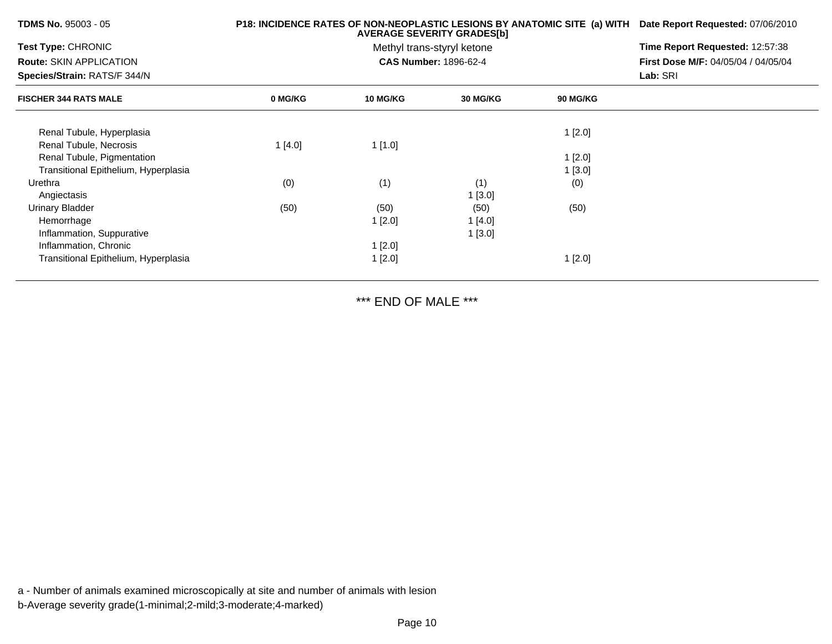| TDMS No. 95003 - 05                  | P18: INCIDENCE RATES OF NON-NEOPLASTIC LESIONS BY ANATOMIC SITE (a) WITH | Date Report Requested: 07/06/2010 |                              |                 |                                            |
|--------------------------------------|--------------------------------------------------------------------------|-----------------------------------|------------------------------|-----------------|--------------------------------------------|
| <b>Test Type: CHRONIC</b>            |                                                                          |                                   | Methyl trans-styryl ketone   |                 | Time Report Requested: 12:57:38            |
| <b>Route: SKIN APPLICATION</b>       |                                                                          |                                   | <b>CAS Number: 1896-62-4</b> |                 | <b>First Dose M/F: 04/05/04 / 04/05/04</b> |
| Species/Strain: RATS/F 344/N         |                                                                          |                                   | Lab: SRI                     |                 |                                            |
| <b>FISCHER 344 RATS MALE</b>         | 0 MG/KG                                                                  | <b>10 MG/KG</b>                   | <b>30 MG/KG</b>              | <b>90 MG/KG</b> |                                            |
| Renal Tubule, Hyperplasia            |                                                                          |                                   |                              | 1[2.0]          |                                            |
| Renal Tubule, Necrosis               | 1[4.0]                                                                   | 1[1.0]                            |                              |                 |                                            |
| Renal Tubule, Pigmentation           |                                                                          |                                   |                              | 1[2.0]          |                                            |
| Transitional Epithelium, Hyperplasia |                                                                          |                                   |                              | 1[3.0]          |                                            |
| Urethra                              | (0)                                                                      | (1)                               | (1)                          | (0)             |                                            |
| Angiectasis                          |                                                                          |                                   | 1[3.0]                       |                 |                                            |
| <b>Urinary Bladder</b>               | (50)                                                                     | (50)                              | (50)                         | (50)            |                                            |
| Hemorrhage                           |                                                                          | 1[2.0]                            | 1[4.0]                       |                 |                                            |
| Inflammation, Suppurative            |                                                                          |                                   | 1[3.0]                       |                 |                                            |
| Inflammation, Chronic                |                                                                          | 1[2.0]                            |                              |                 |                                            |
| Transitional Epithelium, Hyperplasia |                                                                          | 1[2.0]                            |                              | 1[2.0]          |                                            |

\*\*\* END OF MALE \*\*\*

a - Number of animals examined microscopically at site and number of animals with lesionb-Average severity grade(1-minimal;2-mild;3-moderate;4-marked)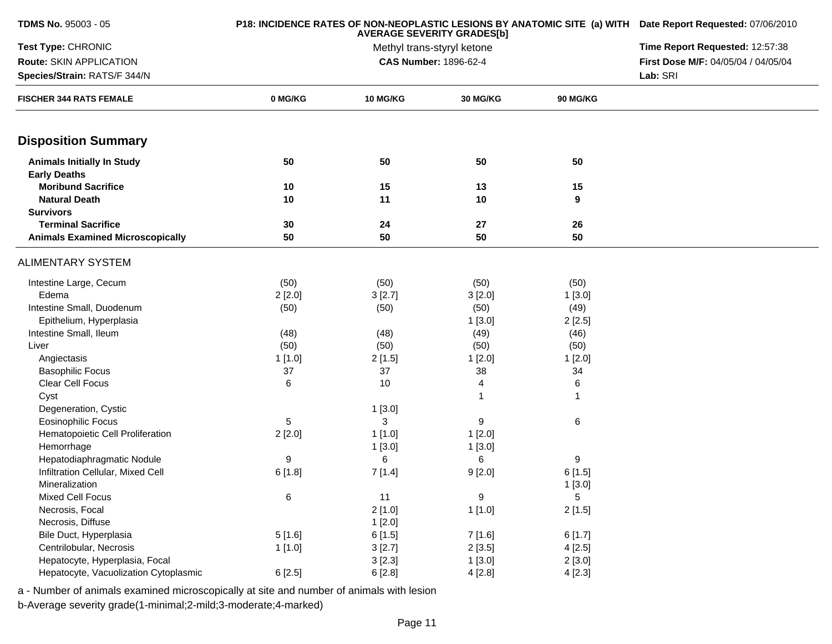| TDMS No. 95003 - 05                                      |         | P18: INCIDENCE RATES OF NON-NEOPLASTIC LESIONS BY ANATOMIC SITE (a) WITH Date Report Requested: 07/06/2010 |                            |            |                                     |
|----------------------------------------------------------|---------|------------------------------------------------------------------------------------------------------------|----------------------------|------------|-------------------------------------|
| Test Type: CHRONIC                                       |         |                                                                                                            | Methyl trans-styryl ketone |            | Time Report Requested: 12:57:38     |
| Route: SKIN APPLICATION                                  |         |                                                                                                            | CAS Number: 1896-62-4      |            | First Dose M/F: 04/05/04 / 04/05/04 |
| Species/Strain: RATS/F 344/N                             |         |                                                                                                            |                            |            | Lab: SRI                            |
| <b>FISCHER 344 RATS FEMALE</b>                           | 0 MG/KG | <b>10 MG/KG</b>                                                                                            | 30 MG/KG                   | 90 MG/KG   |                                     |
| <b>Disposition Summary</b>                               |         |                                                                                                            |                            |            |                                     |
| <b>Animals Initially In Study</b><br><b>Early Deaths</b> | 50      | 50                                                                                                         | 50                         | 50         |                                     |
| <b>Moribund Sacrifice</b>                                | 10      | 15                                                                                                         | 13                         | 15         |                                     |
| <b>Natural Death</b>                                     | 10      | 11                                                                                                         | 10                         | 9          |                                     |
| <b>Survivors</b>                                         |         |                                                                                                            |                            |            |                                     |
| <b>Terminal Sacrifice</b>                                | 30      | 24                                                                                                         | 27                         | 26         |                                     |
| <b>Animals Examined Microscopically</b>                  | 50      | 50                                                                                                         | 50                         | 50         |                                     |
| <b>ALIMENTARY SYSTEM</b>                                 |         |                                                                                                            |                            |            |                                     |
| Intestine Large, Cecum                                   | (50)    | (50)                                                                                                       | (50)                       | (50)       |                                     |
| Edema                                                    | 2[2.0]  | 3[2.7]                                                                                                     | 3[2.0]                     | 1[3.0]     |                                     |
| Intestine Small, Duodenum                                | (50)    | (50)                                                                                                       | (50)                       | (49)       |                                     |
| Epithelium, Hyperplasia                                  |         |                                                                                                            | 1[3.0]                     | 2[2.5]     |                                     |
| Intestine Small, Ileum                                   | (48)    | (48)                                                                                                       | (49)                       | (46)       |                                     |
| Liver                                                    | (50)    | (50)                                                                                                       | (50)                       | (50)       |                                     |
| Angiectasis                                              | 1[1.0]  | 2[1.5]                                                                                                     | 1[2.0]                     | 1[2.0]     |                                     |
| <b>Basophilic Focus</b>                                  | 37      | 37                                                                                                         | 38                         | 34         |                                     |
| Clear Cell Focus                                         | 6       | 10                                                                                                         | 4                          | 6          |                                     |
| Cyst                                                     |         |                                                                                                            | 1                          | 1          |                                     |
| Degeneration, Cystic                                     |         | 1[3.0]                                                                                                     |                            |            |                                     |
| <b>Eosinophilic Focus</b>                                | 5       | 3                                                                                                          | 9                          | 6          |                                     |
| Hematopoietic Cell Proliferation                         | 2[2.0]  | 1[1.0]                                                                                                     | 1[2.0]                     |            |                                     |
| Hemorrhage                                               |         | 1[3.0]                                                                                                     | 1[3.0]                     |            |                                     |
| Hepatodiaphragmatic Nodule                               | 9       | 6                                                                                                          | 6                          | 9          |                                     |
| Infiltration Cellular, Mixed Cell                        | 6[1.8]  | 7[1.4]                                                                                                     | 9[2.0]                     | 6[1.5]     |                                     |
| Mineralization                                           |         |                                                                                                            |                            | 1[3.0]     |                                     |
| Mixed Cell Focus                                         | 6       | 11                                                                                                         | 9                          | $\sqrt{5}$ |                                     |
| Necrosis, Focal                                          |         | 2[1.0]                                                                                                     | 1[1.0]                     | 2[1.5]     |                                     |
| Necrosis, Diffuse                                        |         | 1[2.0]                                                                                                     |                            |            |                                     |
| Bile Duct, Hyperplasia                                   | 5[1.6]  | 6[1.5]                                                                                                     | 7 [1.6]                    | 6[1.7]     |                                     |
| Centrilobular, Necrosis                                  | 1 [1.0] | 3[2.7]                                                                                                     | 2[3.5]                     | 4[2.5]     |                                     |
| Hepatocyte, Hyperplasia, Focal                           |         | 3[2.3]                                                                                                     | 1[3.0]                     | 2[3.0]     |                                     |
| Hepatocyte, Vacuolization Cytoplasmic                    | 6[2.5]  | 6[2.8]                                                                                                     | 4[2.8]                     | 4[2.3]     |                                     |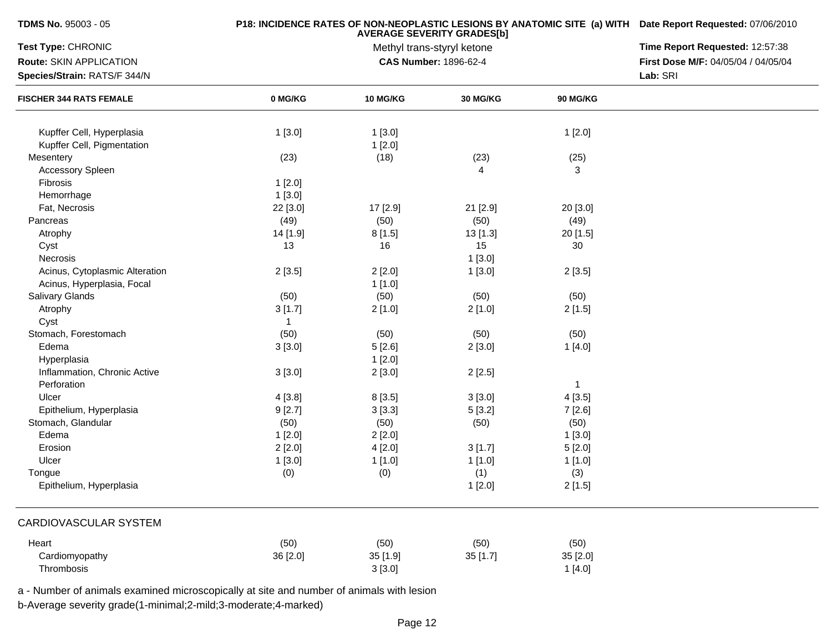| <b>TDMS No. 95003 - 05</b>     |          | P18: INCIDENCE RATES OF NON-NEOPLASTIC LESIONS BY ANATOMIC SITE (a) WITH Date Report Requested: 07/06/2010<br>Time Report Requested: 12:57:38 |                                                            |                 |                                     |
|--------------------------------|----------|-----------------------------------------------------------------------------------------------------------------------------------------------|------------------------------------------------------------|-----------------|-------------------------------------|
| Test Type: CHRONIC             |          |                                                                                                                                               |                                                            |                 |                                     |
| Route: SKIN APPLICATION        |          |                                                                                                                                               | Methyl trans-styryl ketone<br><b>CAS Number: 1896-62-4</b> |                 | First Dose M/F: 04/05/04 / 04/05/04 |
| Species/Strain: RATS/F 344/N   |          |                                                                                                                                               |                                                            |                 | Lab: SRI                            |
| <b>FISCHER 344 RATS FEMALE</b> | 0 MG/KG  | 10 MG/KG                                                                                                                                      | <b>30 MG/KG</b>                                            | <b>90 MG/KG</b> |                                     |
| Kupffer Cell, Hyperplasia      | 1[3.0]   | 1[3.0]                                                                                                                                        |                                                            | 1[2.0]          |                                     |
| Kupffer Cell, Pigmentation     |          | 1[2.0]                                                                                                                                        |                                                            |                 |                                     |
| Mesentery                      | (23)     | (18)                                                                                                                                          | (23)                                                       | (25)            |                                     |
| <b>Accessory Spleen</b>        |          |                                                                                                                                               | 4                                                          | 3               |                                     |
| Fibrosis                       | 1[2.0]   |                                                                                                                                               |                                                            |                 |                                     |
| Hemorrhage                     | 1[3.0]   |                                                                                                                                               |                                                            |                 |                                     |
| Fat, Necrosis                  | 22 [3.0] | 17 [2.9]                                                                                                                                      | 21 [2.9]                                                   | 20 [3.0]        |                                     |
| Pancreas                       | (49)     | (50)                                                                                                                                          | (50)                                                       | (49)            |                                     |
| Atrophy                        | 14 [1.9] | 8[1.5]                                                                                                                                        | $13$ [1.3]                                                 | 20 [1.5]        |                                     |
| Cyst                           | 13       | 16                                                                                                                                            | 15                                                         | 30              |                                     |
| Necrosis                       |          |                                                                                                                                               | 1[3.0]                                                     |                 |                                     |
| Acinus, Cytoplasmic Alteration | 2[3.5]   | 2[2.0]                                                                                                                                        | 1[3.0]                                                     | 2[3.5]          |                                     |
| Acinus, Hyperplasia, Focal     |          | 1[1.0]                                                                                                                                        |                                                            |                 |                                     |
| <b>Salivary Glands</b>         | (50)     | (50)                                                                                                                                          | (50)                                                       | (50)            |                                     |
| Atrophy                        | 3[1.7]   | 2[1.0]                                                                                                                                        | 2[1.0]                                                     | 2[1.5]          |                                     |
| Cyst                           | 1        |                                                                                                                                               |                                                            |                 |                                     |
| Stomach, Forestomach           | (50)     | (50)                                                                                                                                          | (50)                                                       | (50)            |                                     |
| Edema                          | 3[3.0]   | 5[2.6]                                                                                                                                        | 2[3.0]                                                     | 1[4.0]          |                                     |
| Hyperplasia                    |          | 1[2.0]                                                                                                                                        |                                                            |                 |                                     |
| Inflammation, Chronic Active   | 3[3.0]   | 2[3.0]                                                                                                                                        | 2[2.5]                                                     |                 |                                     |
| Perforation                    |          |                                                                                                                                               |                                                            | $\mathbf{1}$    |                                     |
| Ulcer                          | 4[3.8]   | 8[3.5]                                                                                                                                        | 3[3.0]                                                     | 4[3.5]          |                                     |
| Epithelium, Hyperplasia        | 9[2.7]   | 3[3.3]                                                                                                                                        | 5[3.2]                                                     | 7[2.6]          |                                     |
| Stomach, Glandular             | (50)     | (50)                                                                                                                                          | (50)                                                       | (50)            |                                     |
| Edema                          | 1[2.0]   | 2[2.0]                                                                                                                                        |                                                            | 1[3.0]          |                                     |
| Erosion                        | 2[2.0]   | 4[2.0]                                                                                                                                        | 3[1.7]                                                     | 5[2.0]          |                                     |
| Ulcer                          | 1[3.0]   | 1 [1.0]                                                                                                                                       | 1[1.0]                                                     | 1 [1.0]         |                                     |
| Tongue                         | (0)      | (0)                                                                                                                                           | (1)                                                        | (3)             |                                     |
| Epithelium, Hyperplasia        |          |                                                                                                                                               | 1[2.0]                                                     | 2[1.5]          |                                     |
| <b>CARDIOVASCULAR SYSTEM</b>   |          |                                                                                                                                               |                                                            |                 |                                     |
| Heart                          | (50)     | (50)                                                                                                                                          | (50)                                                       | (50)            |                                     |
| Cardiomyopathy                 | 36 [2.0] | 35 [1.9]                                                                                                                                      | 35 [1.7]                                                   | 35 [2.0]        |                                     |
| Thrombosis                     |          | 3[3.0]                                                                                                                                        |                                                            | 1[4.0]          |                                     |
|                                |          |                                                                                                                                               |                                                            |                 |                                     |

a - Number of animals examined microscopically at site and number of animals with lesion

b-Average severity grade(1-minimal;2-mild;3-moderate;4-marked)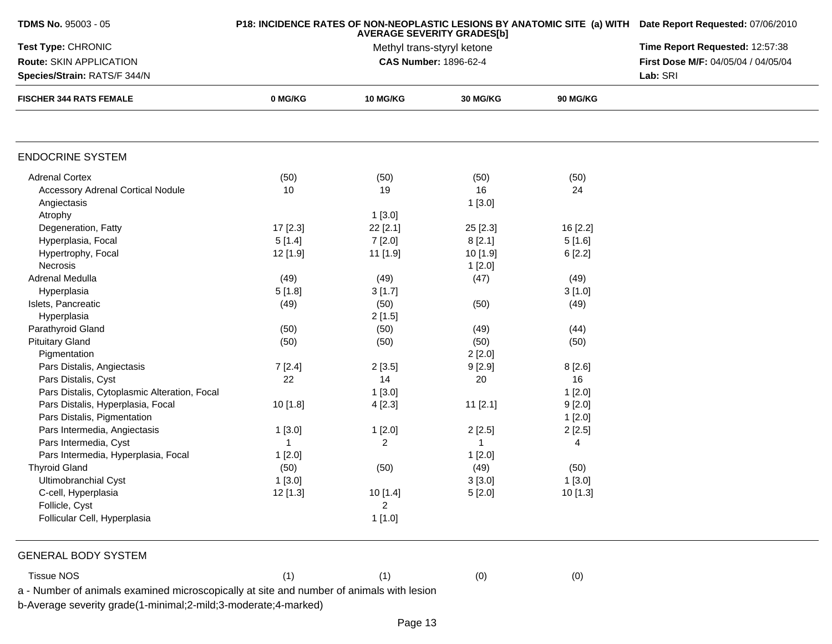| TDMS No. 95003 - 05                                                                      |              | P18: INCIDENCE RATES OF NON-NEOPLASTIC LESIONS BY ANATOMIC SITE (a) WITH Date Report Requested: 07/06/2010<br>Time Report Requested: 12:57:38 |                                                     |                 |                                     |
|------------------------------------------------------------------------------------------|--------------|-----------------------------------------------------------------------------------------------------------------------------------------------|-----------------------------------------------------|-----------------|-------------------------------------|
| Test Type: CHRONIC                                                                       |              |                                                                                                                                               |                                                     |                 |                                     |
| Route: SKIN APPLICATION                                                                  |              |                                                                                                                                               | Methyl trans-styryl ketone<br>CAS Number: 1896-62-4 |                 | First Dose M/F: 04/05/04 / 04/05/04 |
| Species/Strain: RATS/F 344/N<br><b>FISCHER 344 RATS FEMALE</b>                           |              | Lab: SRI                                                                                                                                      |                                                     |                 |                                     |
|                                                                                          | 0 MG/KG      | <b>10 MG/KG</b>                                                                                                                               | <b>30 MG/KG</b>                                     | <b>90 MG/KG</b> |                                     |
|                                                                                          |              |                                                                                                                                               |                                                     |                 |                                     |
| <b>ENDOCRINE SYSTEM</b>                                                                  |              |                                                                                                                                               |                                                     |                 |                                     |
| <b>Adrenal Cortex</b>                                                                    | (50)         | (50)                                                                                                                                          | (50)                                                | (50)            |                                     |
| <b>Accessory Adrenal Cortical Nodule</b>                                                 | 10           | 19                                                                                                                                            | 16                                                  | 24              |                                     |
| Angiectasis                                                                              |              |                                                                                                                                               | 1[3.0]                                              |                 |                                     |
| Atrophy                                                                                  |              | 1[3.0]                                                                                                                                        |                                                     |                 |                                     |
| Degeneration, Fatty                                                                      | $17$ [2.3]   | 22 [2.1]                                                                                                                                      | 25 [2.3]                                            | 16 [2.2]        |                                     |
| Hyperplasia, Focal                                                                       | 5[1.4]       | 7[2.0]                                                                                                                                        | 8[2.1]                                              | 5[1.6]          |                                     |
| Hypertrophy, Focal                                                                       | 12 [1.9]     | 11 [1.9]                                                                                                                                      | 10 [1.9]                                            | 6[2.2]          |                                     |
| Necrosis                                                                                 |              |                                                                                                                                               | 1[2.0]                                              |                 |                                     |
| Adrenal Medulla                                                                          | (49)         | (49)                                                                                                                                          | (47)                                                | (49)            |                                     |
| Hyperplasia                                                                              | 5[1.8]       | 3[1.7]                                                                                                                                        |                                                     | 3[1.0]          |                                     |
| Islets, Pancreatic                                                                       | (49)         | (50)                                                                                                                                          | (50)                                                | (49)            |                                     |
| Hyperplasia                                                                              |              | 2[1.5]                                                                                                                                        |                                                     |                 |                                     |
| Parathyroid Gland                                                                        | (50)         | (50)                                                                                                                                          | (49)                                                | (44)            |                                     |
| <b>Pituitary Gland</b>                                                                   | (50)         | (50)                                                                                                                                          | (50)                                                | (50)            |                                     |
| Pigmentation                                                                             |              |                                                                                                                                               | 2[2.0]                                              |                 |                                     |
| Pars Distalis, Angiectasis                                                               | 7[2.4]       | 2[3.5]                                                                                                                                        | 9[2.9]                                              | 8[2.6]          |                                     |
| Pars Distalis, Cyst                                                                      | 22           | 14                                                                                                                                            | 20                                                  | 16              |                                     |
| Pars Distalis, Cytoplasmic Alteration, Focal                                             |              | 1[3.0]                                                                                                                                        |                                                     | 1[2.0]          |                                     |
| Pars Distalis, Hyperplasia, Focal                                                        | 10 [1.8]     | 4[2.3]                                                                                                                                        | $11$ [2.1]                                          | 9[2.0]          |                                     |
| Pars Distalis, Pigmentation                                                              |              |                                                                                                                                               |                                                     | 1[2.0]          |                                     |
| Pars Intermedia, Angiectasis                                                             | 1 [3.0]      | 1[2.0]                                                                                                                                        | 2[2.5]                                              | 2[2.5]          |                                     |
| Pars Intermedia, Cyst                                                                    | $\mathbf{1}$ | 2                                                                                                                                             | 1                                                   | 4               |                                     |
| Pars Intermedia, Hyperplasia, Focal                                                      | 1[2.0]       |                                                                                                                                               | 1[2.0]                                              |                 |                                     |
| <b>Thyroid Gland</b>                                                                     | (50)         | (50)                                                                                                                                          | (49)                                                | (50)            |                                     |
| Ultimobranchial Cyst                                                                     | 1[3.0]       |                                                                                                                                               | 3[3.0]                                              | 1[3.0]          |                                     |
| C-cell, Hyperplasia                                                                      | 12 [1.3]     | 10 [1.4]                                                                                                                                      | 5[2.0]                                              | 10 [1.3]        |                                     |
| Follicle, Cyst                                                                           |              | 2                                                                                                                                             |                                                     |                 |                                     |
| Follicular Cell, Hyperplasia                                                             |              | 1[1.0]                                                                                                                                        |                                                     |                 |                                     |
| <b>GENERAL BODY SYSTEM</b>                                                               |              |                                                                                                                                               |                                                     |                 |                                     |
| <b>Tissue NOS</b>                                                                        | (1)          | (1)                                                                                                                                           | (0)                                                 | (0)             |                                     |
| a - Number of animals examined microscopically at site and number of animals with lesion |              |                                                                                                                                               |                                                     |                 |                                     |
| b-Average severity grade(1-minimal;2-mild;3-moderate;4-marked)                           |              |                                                                                                                                               |                                                     |                 |                                     |
|                                                                                          |              |                                                                                                                                               |                                                     |                 |                                     |
|                                                                                          |              | Page 13                                                                                                                                       |                                                     |                 |                                     |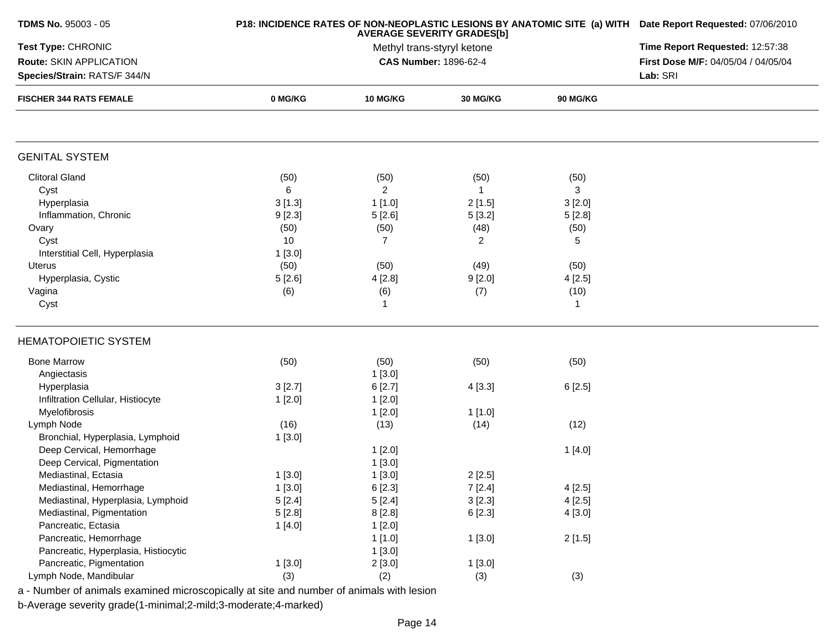| <b>TDMS No. 95003 - 05</b>                                                               |         | P18: INCIDENCE RATES OF NON-NEOPLASTIC LESIONS BY ANATOMIC SITE (a) WITH Date Report Requested: 07/06/2010<br>Time Report Requested: 12:57:38 |                                                     |                 |                                     |
|------------------------------------------------------------------------------------------|---------|-----------------------------------------------------------------------------------------------------------------------------------------------|-----------------------------------------------------|-----------------|-------------------------------------|
| Test Type: CHRONIC                                                                       |         |                                                                                                                                               |                                                     |                 |                                     |
| Route: SKIN APPLICATION                                                                  |         |                                                                                                                                               | Methyl trans-styryl ketone<br>CAS Number: 1896-62-4 |                 | First Dose M/F: 04/05/04 / 04/05/04 |
| Species/Strain: RATS/F 344/N<br><b>FISCHER 344 RATS FEMALE</b>                           |         | Lab: SRI                                                                                                                                      |                                                     |                 |                                     |
|                                                                                          | 0 MG/KG | <b>10 MG/KG</b>                                                                                                                               | <b>30 MG/KG</b>                                     | <b>90 MG/KG</b> |                                     |
|                                                                                          |         |                                                                                                                                               |                                                     |                 |                                     |
| <b>GENITAL SYSTEM</b>                                                                    |         |                                                                                                                                               |                                                     |                 |                                     |
| <b>Clitoral Gland</b>                                                                    | (50)    | (50)                                                                                                                                          | (50)                                                | (50)            |                                     |
| Cyst                                                                                     | 6       | $\overline{2}$                                                                                                                                | $\mathbf{1}$                                        | 3               |                                     |
| Hyperplasia                                                                              | 3[1.3]  | 1[1.0]                                                                                                                                        | 2[1.5]                                              | 3[2.0]          |                                     |
| Inflammation, Chronic                                                                    | 9[2.3]  | 5[2.6]                                                                                                                                        | 5[3.2]                                              | 5[2.8]          |                                     |
| Ovary                                                                                    | (50)    | (50)                                                                                                                                          | (48)                                                | (50)            |                                     |
| Cyst                                                                                     | 10      | $\overline{7}$                                                                                                                                | 2                                                   | 5               |                                     |
| Interstitial Cell, Hyperplasia                                                           | 1[3.0]  |                                                                                                                                               |                                                     |                 |                                     |
| Uterus                                                                                   | (50)    | (50)                                                                                                                                          | (49)                                                | (50)            |                                     |
| Hyperplasia, Cystic                                                                      | 5[2.6]  | 4[2.8]                                                                                                                                        | 9[2.0]                                              | 4[2.5]          |                                     |
| Vagina                                                                                   | (6)     | (6)                                                                                                                                           | (7)                                                 | (10)            |                                     |
| Cyst                                                                                     |         | 1                                                                                                                                             |                                                     | $\mathbf{1}$    |                                     |
| <b>HEMATOPOIETIC SYSTEM</b>                                                              |         |                                                                                                                                               |                                                     |                 |                                     |
| <b>Bone Marrow</b>                                                                       | (50)    | (50)                                                                                                                                          | (50)                                                | (50)            |                                     |
| Angiectasis                                                                              |         | 1[3.0]                                                                                                                                        |                                                     |                 |                                     |
| Hyperplasia                                                                              | 3[2.7]  | 6[2.7]                                                                                                                                        | 4[3.3]                                              | 6[2.5]          |                                     |
| Infiltration Cellular, Histiocyte                                                        | 1[2.0]  | 1[2.0]                                                                                                                                        |                                                     |                 |                                     |
| Myelofibrosis                                                                            |         | 1[2.0]                                                                                                                                        | 1[1.0]                                              |                 |                                     |
| Lymph Node                                                                               | (16)    | (13)                                                                                                                                          | (14)                                                | (12)            |                                     |
| Bronchial, Hyperplasia, Lymphoid                                                         | 1[3.0]  |                                                                                                                                               |                                                     |                 |                                     |
| Deep Cervical, Hemorrhage                                                                |         | 1[2.0]                                                                                                                                        |                                                     | 1[4.0]          |                                     |
| Deep Cervical, Pigmentation                                                              |         | 1[3.0]                                                                                                                                        |                                                     |                 |                                     |
| Mediastinal, Ectasia                                                                     | 1[3.0]  | 1[3.0]                                                                                                                                        | 2[2.5]                                              |                 |                                     |
| Mediastinal, Hemorrhage                                                                  | 1[3.0]  | 6 [2.3]                                                                                                                                       | 7[2.4]                                              | 4[2.5]          |                                     |
| Mediastinal, Hyperplasia, Lymphoid                                                       | 5[2.4]  | 5[2.4]                                                                                                                                        | 3[2.3]                                              | 4[2.5]          |                                     |
| Mediastinal, Pigmentation                                                                | 5[2.8]  | 8[2.8]                                                                                                                                        | 6 [2.3]                                             | 4[3.0]          |                                     |
| Pancreatic, Ectasia                                                                      | 1[4.0]  | 1[2.0]                                                                                                                                        |                                                     |                 |                                     |
| Pancreatic, Hemorrhage                                                                   |         | 1[1.0]                                                                                                                                        | 1[3.0]                                              | 2[1.5]          |                                     |
| Pancreatic, Hyperplasia, Histiocytic                                                     |         | 1[3.0]                                                                                                                                        |                                                     |                 |                                     |
| Pancreatic, Pigmentation                                                                 | 1[3.0]  | 2[3.0]                                                                                                                                        | 1[3.0]                                              |                 |                                     |
| Lymph Node, Mandibular                                                                   | (3)     | (2)                                                                                                                                           | (3)                                                 | (3)             |                                     |
| a - Number of animals examined microscopically at site and number of animals with lesion |         |                                                                                                                                               |                                                     |                 |                                     |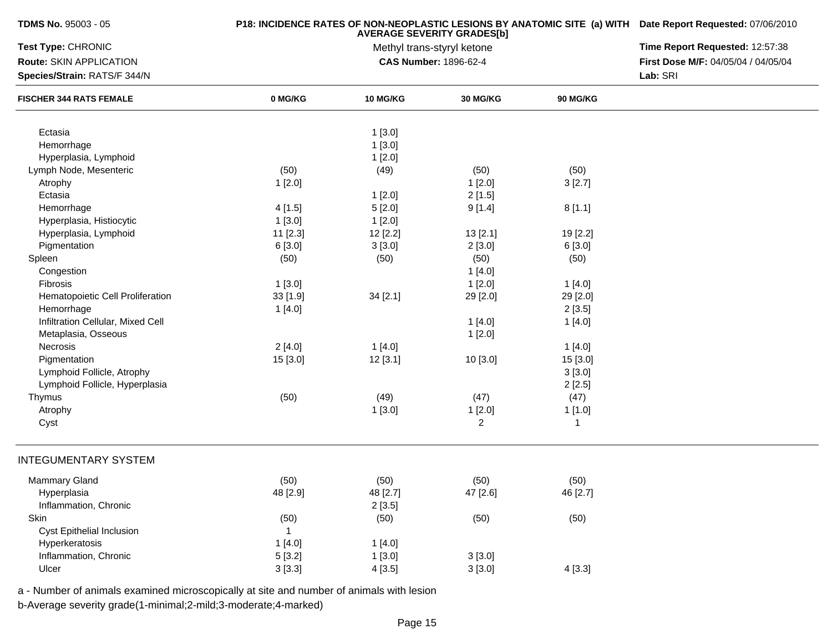| Test Type: CHRONIC                                             |              | Methyl trans-styryl ketone      |                |                 |                                     |
|----------------------------------------------------------------|--------------|---------------------------------|----------------|-----------------|-------------------------------------|
|                                                                |              | Time Report Requested: 12:57:38 |                |                 |                                     |
| Route: SKIN APPLICATION                                        |              | <b>CAS Number: 1896-62-4</b>    |                |                 | First Dose M/F: 04/05/04 / 04/05/04 |
| Species/Strain: RATS/F 344/N<br><b>FISCHER 344 RATS FEMALE</b> |              | Lab: SRI                        |                |                 |                                     |
|                                                                | 0 MG/KG      | <b>10 MG/KG</b>                 | 30 MG/KG       | <b>90 MG/KG</b> |                                     |
| Ectasia                                                        |              | 1[3.0]                          |                |                 |                                     |
| Hemorrhage                                                     |              | 1[3.0]                          |                |                 |                                     |
| Hyperplasia, Lymphoid                                          |              | 1[2.0]                          |                |                 |                                     |
| Lymph Node, Mesenteric                                         | (50)         | (49)                            | (50)           | (50)            |                                     |
| Atrophy                                                        | 1[2.0]       |                                 | 1[2.0]         | 3[2.7]          |                                     |
| Ectasia                                                        |              | 1[2.0]                          | 2[1.5]         |                 |                                     |
| Hemorrhage                                                     | 4[1.5]       | 5[2.0]                          | 9[1.4]         | 8[1.1]          |                                     |
| Hyperplasia, Histiocytic                                       | 1[3.0]       | 1[2.0]                          |                |                 |                                     |
| Hyperplasia, Lymphoid                                          | 11 [2.3]     | 12 [2.2]                        | 13[2.1]        | 19 [2.2]        |                                     |
| Pigmentation                                                   | 6[3.0]       | 3[3.0]                          | 2[3.0]         | 6 [3.0]         |                                     |
| Spleen                                                         | (50)         | (50)                            | (50)           | (50)            |                                     |
| Congestion                                                     |              |                                 | 1[4.0]         |                 |                                     |
| Fibrosis                                                       | 1[3.0]       |                                 | 1[2.0]         | 1[4.0]          |                                     |
| Hematopoietic Cell Proliferation                               | 33 [1.9]     | 34 [2.1]                        | 29 [2.0]       | 29 [2.0]        |                                     |
| Hemorrhage                                                     | 1[4.0]       |                                 |                | 2[3.5]          |                                     |
| Infiltration Cellular, Mixed Cell                              |              |                                 | 1[4.0]         | 1[4.0]          |                                     |
| Metaplasia, Osseous                                            |              |                                 | 1[2.0]         |                 |                                     |
| Necrosis                                                       | 2[4.0]       | 1[4.0]                          |                | 1[4.0]          |                                     |
| Pigmentation                                                   | 15 [3.0]     | 12[3.1]                         | 10 [3.0]       | 15 [3.0]        |                                     |
| Lymphoid Follicle, Atrophy                                     |              |                                 |                | 3[3.0]          |                                     |
| Lymphoid Follicle, Hyperplasia                                 |              |                                 |                | 2[2.5]          |                                     |
| Thymus                                                         | (50)         | (49)                            | (47)           | (47)            |                                     |
| Atrophy                                                        |              | 1[3.0]                          | 1[2.0]         | 1 [1.0]         |                                     |
| Cyst                                                           |              |                                 | $\overline{2}$ | $\mathbf{1}$    |                                     |
| <b>INTEGUMENTARY SYSTEM</b>                                    |              |                                 |                |                 |                                     |
| Mammary Gland                                                  | (50)         | (50)                            | (50)           | (50)            |                                     |
| Hyperplasia                                                    | 48 [2.9]     | 48 [2.7]                        | 47 [2.6]       | 46 [2.7]        |                                     |
| Inflammation, Chronic                                          |              | 2[3.5]                          |                |                 |                                     |
| Skin                                                           | (50)         | (50)                            | (50)           | (50)            |                                     |
| Cyst Epithelial Inclusion                                      | $\mathbf{1}$ |                                 |                |                 |                                     |
| Hyperkeratosis                                                 | 1[4.0]       | 1[4.0]                          |                |                 |                                     |
| Inflammation, Chronic                                          | 5[3.2]       | 1[3.0]                          | 3[3.0]         |                 |                                     |
| Ulcer                                                          | 3[3.3]       | 4[3.5]                          | 3[3.0]         | 4[3.3]          |                                     |

a - Number of animals examined microscopically at site and number of animals with lesion

b-Average severity grade(1-minimal;2-mild;3-moderate;4-marked)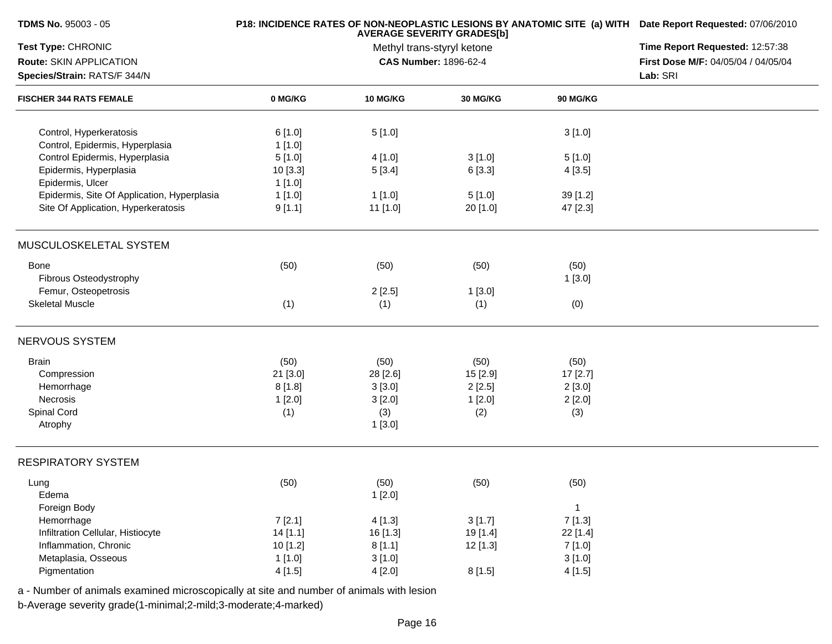| Test Type: CHRONIC<br>Time Report Requested: 12:57:38<br>Methyl trans-styryl ketone<br>Route: SKIN APPLICATION<br><b>CAS Number: 1896-62-4</b><br>First Dose M/F: 04/05/04 / 04/05/04<br>Species/Strain: RATS/F 344/N<br>Lab: SRI<br><b>FISCHER 344 RATS FEMALE</b><br>0 MG/KG<br><b>10 MG/KG</b><br>30 MG/KG<br>90 MG/KG<br>Control, Hyperkeratosis<br>6[1.0]<br>5[1.0]<br>3[1.0]<br>Control, Epidermis, Hyperplasia<br>1[1.0]<br>Control Epidermis, Hyperplasia<br>5[1.0]<br>3[1.0]<br>4 [1.0]<br>5[1.0]<br>Epidermis, Hyperplasia<br>6[3.3]<br>10 [3.3]<br>5[3.4]<br>4[3.5]<br>Epidermis, Ulcer<br>1 [1.0]<br>Epidermis, Site Of Application, Hyperplasia<br>1[1.0]<br>1[1.0]<br>5[1.0]<br>39 [1.2]<br>Site Of Application, Hyperkeratosis<br>9[1.1]<br>11 [1.0]<br>20 [1.0]<br>47 [2.3]<br>MUSCULOSKELETAL SYSTEM<br>Bone<br>(50)<br>(50)<br>(50)<br>(50)<br>Fibrous Osteodystrophy<br>1[3.0]<br>Femur, Osteopetrosis<br>2[2.5]<br>1[3.0]<br><b>Skeletal Muscle</b><br>(1)<br>(1)<br>(1)<br>(0)<br>NERVOUS SYSTEM<br><b>Brain</b><br>(50)<br>(50)<br>(50)<br>(50)<br>Compression<br>21 [3.0]<br>28 [2.6]<br>15 [2.9]<br>17 [2.7]<br>Hemorrhage<br>8[1.8]<br>3[3.0]<br>2[2.5]<br>2[3.0]<br>Necrosis<br>1 [2.0]<br>3[2.0]<br>1[2.0]<br>2[2.0]<br>Spinal Cord<br>(1)<br>(3)<br>(3)<br>(2)<br>Atrophy<br>1[3.0]<br><b>RESPIRATORY SYSTEM</b><br>(50)<br>(50)<br>(50)<br>(50)<br>Lung<br>1[2.0]<br>Edema<br>Foreign Body<br>$\mathbf{1}$<br>7[1.3]<br>Hemorrhage<br>7[2.1]<br>3[1.7]<br>4[1.3]<br>14[1.1]<br>19 [1.4]<br>Infiltration Cellular, Histiocyte<br>16 [1.3]<br>22 [1.4]<br>Inflammation, Chronic<br>10 [1.2]<br>8[1.1]<br>12 [1.3]<br>7[1.0]<br>1[1.0]<br>Metaplasia, Osseous<br>3[1.0]<br>3[1.0]<br>Pigmentation<br>8[1.5]<br>4[1.5]<br>4[2.0]<br>4[1.5] | <b>TDMS No. 95003 - 05</b> | <b>AVERAGE SEVERITY GRADES[b]</b> | P18: INCIDENCE RATES OF NON-NEOPLASTIC LESIONS BY ANATOMIC SITE (a) WITH Date Report Requested: 07/06/2010 |  |  |
|---------------------------------------------------------------------------------------------------------------------------------------------------------------------------------------------------------------------------------------------------------------------------------------------------------------------------------------------------------------------------------------------------------------------------------------------------------------------------------------------------------------------------------------------------------------------------------------------------------------------------------------------------------------------------------------------------------------------------------------------------------------------------------------------------------------------------------------------------------------------------------------------------------------------------------------------------------------------------------------------------------------------------------------------------------------------------------------------------------------------------------------------------------------------------------------------------------------------------------------------------------------------------------------------------------------------------------------------------------------------------------------------------------------------------------------------------------------------------------------------------------------------------------------------------------------------------------------------------------------------------------------------------------------------------------------------------------------------------------------------------------------------|----------------------------|-----------------------------------|------------------------------------------------------------------------------------------------------------|--|--|
|                                                                                                                                                                                                                                                                                                                                                                                                                                                                                                                                                                                                                                                                                                                                                                                                                                                                                                                                                                                                                                                                                                                                                                                                                                                                                                                                                                                                                                                                                                                                                                                                                                                                                                                                                                     |                            |                                   |                                                                                                            |  |  |
|                                                                                                                                                                                                                                                                                                                                                                                                                                                                                                                                                                                                                                                                                                                                                                                                                                                                                                                                                                                                                                                                                                                                                                                                                                                                                                                                                                                                                                                                                                                                                                                                                                                                                                                                                                     |                            |                                   |                                                                                                            |  |  |
|                                                                                                                                                                                                                                                                                                                                                                                                                                                                                                                                                                                                                                                                                                                                                                                                                                                                                                                                                                                                                                                                                                                                                                                                                                                                                                                                                                                                                                                                                                                                                                                                                                                                                                                                                                     |                            |                                   |                                                                                                            |  |  |
|                                                                                                                                                                                                                                                                                                                                                                                                                                                                                                                                                                                                                                                                                                                                                                                                                                                                                                                                                                                                                                                                                                                                                                                                                                                                                                                                                                                                                                                                                                                                                                                                                                                                                                                                                                     |                            |                                   |                                                                                                            |  |  |
|                                                                                                                                                                                                                                                                                                                                                                                                                                                                                                                                                                                                                                                                                                                                                                                                                                                                                                                                                                                                                                                                                                                                                                                                                                                                                                                                                                                                                                                                                                                                                                                                                                                                                                                                                                     |                            |                                   |                                                                                                            |  |  |
|                                                                                                                                                                                                                                                                                                                                                                                                                                                                                                                                                                                                                                                                                                                                                                                                                                                                                                                                                                                                                                                                                                                                                                                                                                                                                                                                                                                                                                                                                                                                                                                                                                                                                                                                                                     |                            |                                   |                                                                                                            |  |  |
|                                                                                                                                                                                                                                                                                                                                                                                                                                                                                                                                                                                                                                                                                                                                                                                                                                                                                                                                                                                                                                                                                                                                                                                                                                                                                                                                                                                                                                                                                                                                                                                                                                                                                                                                                                     |                            |                                   |                                                                                                            |  |  |
|                                                                                                                                                                                                                                                                                                                                                                                                                                                                                                                                                                                                                                                                                                                                                                                                                                                                                                                                                                                                                                                                                                                                                                                                                                                                                                                                                                                                                                                                                                                                                                                                                                                                                                                                                                     |                            |                                   |                                                                                                            |  |  |
|                                                                                                                                                                                                                                                                                                                                                                                                                                                                                                                                                                                                                                                                                                                                                                                                                                                                                                                                                                                                                                                                                                                                                                                                                                                                                                                                                                                                                                                                                                                                                                                                                                                                                                                                                                     |                            |                                   |                                                                                                            |  |  |
|                                                                                                                                                                                                                                                                                                                                                                                                                                                                                                                                                                                                                                                                                                                                                                                                                                                                                                                                                                                                                                                                                                                                                                                                                                                                                                                                                                                                                                                                                                                                                                                                                                                                                                                                                                     |                            |                                   |                                                                                                            |  |  |
|                                                                                                                                                                                                                                                                                                                                                                                                                                                                                                                                                                                                                                                                                                                                                                                                                                                                                                                                                                                                                                                                                                                                                                                                                                                                                                                                                                                                                                                                                                                                                                                                                                                                                                                                                                     |                            |                                   |                                                                                                            |  |  |
|                                                                                                                                                                                                                                                                                                                                                                                                                                                                                                                                                                                                                                                                                                                                                                                                                                                                                                                                                                                                                                                                                                                                                                                                                                                                                                                                                                                                                                                                                                                                                                                                                                                                                                                                                                     |                            |                                   |                                                                                                            |  |  |
|                                                                                                                                                                                                                                                                                                                                                                                                                                                                                                                                                                                                                                                                                                                                                                                                                                                                                                                                                                                                                                                                                                                                                                                                                                                                                                                                                                                                                                                                                                                                                                                                                                                                                                                                                                     |                            |                                   |                                                                                                            |  |  |
|                                                                                                                                                                                                                                                                                                                                                                                                                                                                                                                                                                                                                                                                                                                                                                                                                                                                                                                                                                                                                                                                                                                                                                                                                                                                                                                                                                                                                                                                                                                                                                                                                                                                                                                                                                     |                            |                                   |                                                                                                            |  |  |
|                                                                                                                                                                                                                                                                                                                                                                                                                                                                                                                                                                                                                                                                                                                                                                                                                                                                                                                                                                                                                                                                                                                                                                                                                                                                                                                                                                                                                                                                                                                                                                                                                                                                                                                                                                     |                            |                                   |                                                                                                            |  |  |
|                                                                                                                                                                                                                                                                                                                                                                                                                                                                                                                                                                                                                                                                                                                                                                                                                                                                                                                                                                                                                                                                                                                                                                                                                                                                                                                                                                                                                                                                                                                                                                                                                                                                                                                                                                     |                            |                                   |                                                                                                            |  |  |
|                                                                                                                                                                                                                                                                                                                                                                                                                                                                                                                                                                                                                                                                                                                                                                                                                                                                                                                                                                                                                                                                                                                                                                                                                                                                                                                                                                                                                                                                                                                                                                                                                                                                                                                                                                     |                            |                                   |                                                                                                            |  |  |
|                                                                                                                                                                                                                                                                                                                                                                                                                                                                                                                                                                                                                                                                                                                                                                                                                                                                                                                                                                                                                                                                                                                                                                                                                                                                                                                                                                                                                                                                                                                                                                                                                                                                                                                                                                     |                            |                                   |                                                                                                            |  |  |
|                                                                                                                                                                                                                                                                                                                                                                                                                                                                                                                                                                                                                                                                                                                                                                                                                                                                                                                                                                                                                                                                                                                                                                                                                                                                                                                                                                                                                                                                                                                                                                                                                                                                                                                                                                     |                            |                                   |                                                                                                            |  |  |
|                                                                                                                                                                                                                                                                                                                                                                                                                                                                                                                                                                                                                                                                                                                                                                                                                                                                                                                                                                                                                                                                                                                                                                                                                                                                                                                                                                                                                                                                                                                                                                                                                                                                                                                                                                     |                            |                                   |                                                                                                            |  |  |
|                                                                                                                                                                                                                                                                                                                                                                                                                                                                                                                                                                                                                                                                                                                                                                                                                                                                                                                                                                                                                                                                                                                                                                                                                                                                                                                                                                                                                                                                                                                                                                                                                                                                                                                                                                     |                            |                                   |                                                                                                            |  |  |
|                                                                                                                                                                                                                                                                                                                                                                                                                                                                                                                                                                                                                                                                                                                                                                                                                                                                                                                                                                                                                                                                                                                                                                                                                                                                                                                                                                                                                                                                                                                                                                                                                                                                                                                                                                     |                            |                                   |                                                                                                            |  |  |
|                                                                                                                                                                                                                                                                                                                                                                                                                                                                                                                                                                                                                                                                                                                                                                                                                                                                                                                                                                                                                                                                                                                                                                                                                                                                                                                                                                                                                                                                                                                                                                                                                                                                                                                                                                     |                            |                                   |                                                                                                            |  |  |
|                                                                                                                                                                                                                                                                                                                                                                                                                                                                                                                                                                                                                                                                                                                                                                                                                                                                                                                                                                                                                                                                                                                                                                                                                                                                                                                                                                                                                                                                                                                                                                                                                                                                                                                                                                     |                            |                                   |                                                                                                            |  |  |
|                                                                                                                                                                                                                                                                                                                                                                                                                                                                                                                                                                                                                                                                                                                                                                                                                                                                                                                                                                                                                                                                                                                                                                                                                                                                                                                                                                                                                                                                                                                                                                                                                                                                                                                                                                     |                            |                                   |                                                                                                            |  |  |
|                                                                                                                                                                                                                                                                                                                                                                                                                                                                                                                                                                                                                                                                                                                                                                                                                                                                                                                                                                                                                                                                                                                                                                                                                                                                                                                                                                                                                                                                                                                                                                                                                                                                                                                                                                     |                            |                                   |                                                                                                            |  |  |
|                                                                                                                                                                                                                                                                                                                                                                                                                                                                                                                                                                                                                                                                                                                                                                                                                                                                                                                                                                                                                                                                                                                                                                                                                                                                                                                                                                                                                                                                                                                                                                                                                                                                                                                                                                     |                            |                                   |                                                                                                            |  |  |
|                                                                                                                                                                                                                                                                                                                                                                                                                                                                                                                                                                                                                                                                                                                                                                                                                                                                                                                                                                                                                                                                                                                                                                                                                                                                                                                                                                                                                                                                                                                                                                                                                                                                                                                                                                     |                            |                                   |                                                                                                            |  |  |
|                                                                                                                                                                                                                                                                                                                                                                                                                                                                                                                                                                                                                                                                                                                                                                                                                                                                                                                                                                                                                                                                                                                                                                                                                                                                                                                                                                                                                                                                                                                                                                                                                                                                                                                                                                     |                            |                                   |                                                                                                            |  |  |
|                                                                                                                                                                                                                                                                                                                                                                                                                                                                                                                                                                                                                                                                                                                                                                                                                                                                                                                                                                                                                                                                                                                                                                                                                                                                                                                                                                                                                                                                                                                                                                                                                                                                                                                                                                     |                            |                                   |                                                                                                            |  |  |
|                                                                                                                                                                                                                                                                                                                                                                                                                                                                                                                                                                                                                                                                                                                                                                                                                                                                                                                                                                                                                                                                                                                                                                                                                                                                                                                                                                                                                                                                                                                                                                                                                                                                                                                                                                     |                            |                                   |                                                                                                            |  |  |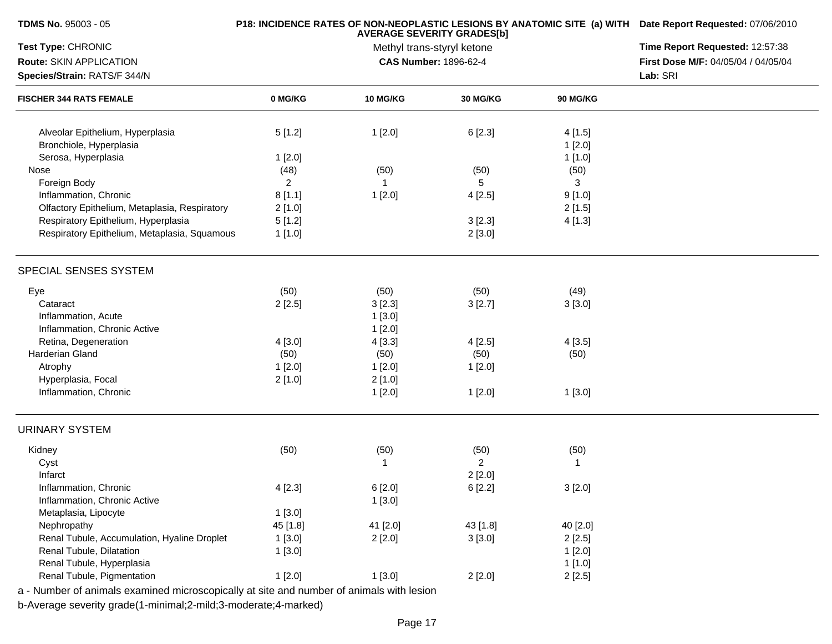| TDMS No. 95003 - 05                           |          | P18: INCIDENCE RATES OF NON-NEOPLASTIC LESIONS BY ANATOMIC SITE (a) WITH Date Report Requested: 07/06/2010<br>Time Report Requested: 12:57:38 |                                                     |                 |                                     |
|-----------------------------------------------|----------|-----------------------------------------------------------------------------------------------------------------------------------------------|-----------------------------------------------------|-----------------|-------------------------------------|
| Test Type: CHRONIC                            |          |                                                                                                                                               |                                                     |                 |                                     |
| Route: SKIN APPLICATION                       |          |                                                                                                                                               | Methyl trans-styryl ketone<br>CAS Number: 1896-62-4 |                 | First Dose M/F: 04/05/04 / 04/05/04 |
| Species/Strain: RATS/F 344/N                  |          | Lab: SRI                                                                                                                                      |                                                     |                 |                                     |
| <b>FISCHER 344 RATS FEMALE</b>                | 0 MG/KG  | <b>10 MG/KG</b>                                                                                                                               | 30 MG/KG                                            | <b>90 MG/KG</b> |                                     |
| Alveolar Epithelium, Hyperplasia              | 5[1.2]   | 1[2.0]                                                                                                                                        | 6[2.3]                                              | 4[1.5]          |                                     |
| Bronchiole, Hyperplasia                       |          |                                                                                                                                               |                                                     | 1[2.0]          |                                     |
| Serosa, Hyperplasia                           | 1[2.0]   |                                                                                                                                               |                                                     | 1[1.0]          |                                     |
| Nose                                          | (48)     | (50)                                                                                                                                          | (50)                                                | (50)            |                                     |
| Foreign Body                                  | 2        | 1                                                                                                                                             | 5                                                   | 3               |                                     |
| Inflammation, Chronic                         | 8[1.1]   | 1[2.0]                                                                                                                                        | 4[2.5]                                              | 9[1.0]          |                                     |
| Olfactory Epithelium, Metaplasia, Respiratory | 2[1.0]   |                                                                                                                                               |                                                     | 2[1.5]          |                                     |
| Respiratory Epithelium, Hyperplasia           | 5[1.2]   |                                                                                                                                               | 3[2.3]                                              | 4[1.3]          |                                     |
| Respiratory Epithelium, Metaplasia, Squamous  | 1[1.0]   |                                                                                                                                               | 2[3.0]                                              |                 |                                     |
| SPECIAL SENSES SYSTEM                         |          |                                                                                                                                               |                                                     |                 |                                     |
| Eye                                           | (50)     | (50)                                                                                                                                          | (50)                                                | (49)            |                                     |
| Cataract                                      | 2[2.5]   | 3[2.3]                                                                                                                                        | 3[2.7]                                              | 3[3.0]          |                                     |
| Inflammation, Acute                           |          | 1[3.0]                                                                                                                                        |                                                     |                 |                                     |
| Inflammation, Chronic Active                  |          | 1[2.0]                                                                                                                                        |                                                     |                 |                                     |
| Retina, Degeneration                          | 4[3.0]   | 4 [3.3]                                                                                                                                       | 4[2.5]                                              | 4[3.5]          |                                     |
| Harderian Gland                               | (50)     | (50)                                                                                                                                          | (50)                                                | (50)            |                                     |
| Atrophy                                       | 1[2.0]   | 1[2.0]                                                                                                                                        | 1[2.0]                                              |                 |                                     |
| Hyperplasia, Focal                            | 2[1.0]   | 2[1.0]                                                                                                                                        |                                                     |                 |                                     |
| Inflammation, Chronic                         |          | 1[2.0]                                                                                                                                        | 1[2.0]                                              | 1[3.0]          |                                     |
| <b>URINARY SYSTEM</b>                         |          |                                                                                                                                               |                                                     |                 |                                     |
| Kidney                                        | (50)     | (50)                                                                                                                                          | (50)                                                | (50)            |                                     |
| Cyst                                          |          | 1                                                                                                                                             | $\overline{2}$                                      | -1              |                                     |
| Infarct                                       |          |                                                                                                                                               | 2[2.0]                                              |                 |                                     |
| Inflammation, Chronic                         | 4[2.3]   | 6 [2.0]                                                                                                                                       | 6[2.2]                                              | 3[2.0]          |                                     |
| Inflammation, Chronic Active                  |          | 1[3.0]                                                                                                                                        |                                                     |                 |                                     |
| Metaplasia, Lipocyte                          | 1[3.0]   |                                                                                                                                               |                                                     |                 |                                     |
| Nephropathy                                   | 45 [1.8] | 41 [2.0]                                                                                                                                      | 43 [1.8]                                            | 40 [2.0]        |                                     |
| Renal Tubule, Accumulation, Hyaline Droplet   | 1[3.0]   | 2[2.0]                                                                                                                                        | 3[3.0]                                              | 2[2.5]          |                                     |
| Renal Tubule, Dilatation                      | 1[3.0]   |                                                                                                                                               |                                                     | 1[2.0]          |                                     |
| Renal Tubule, Hyperplasia                     |          |                                                                                                                                               |                                                     | 1[1.0]          |                                     |
| Renal Tubule, Pigmentation                    | 1[2.0]   | 1[3.0]                                                                                                                                        | 2[2.0]                                              | 2[2.5]          |                                     |